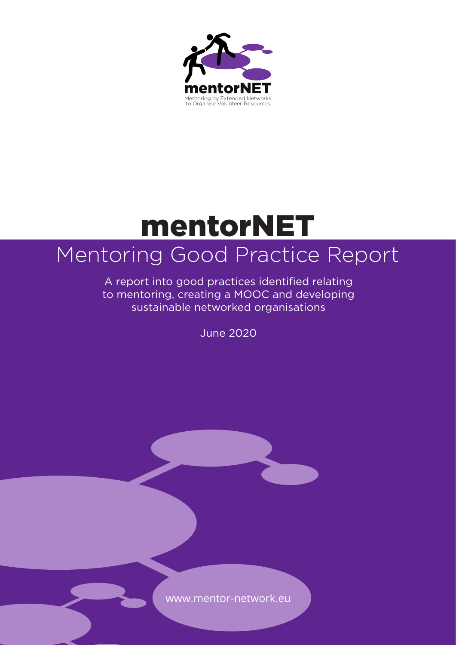

# mentorNET Mentoring Good Practice Report

A report into good practices identified relating to mentoring, creating a MOOC and developing sustainable networked organisations

June 2020

www.mentor-network.eu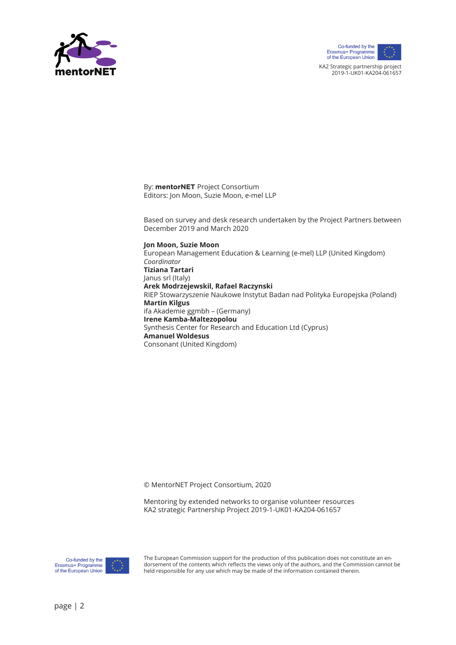



By: **mentorNET** Project Consortium Editors: Jon Moon, Suzie Moon, e-mel LLP

Based on survey and desk research undertaken by the Project Partners between December 2019 and March 2020

**Jon Moon, Suzie Moon** European Management Education & Learning (e-mel) LLP (United Kingdom) *Coordinator* **Tiziana Tartari**  Janus srl (Italy) **Arek Modrzejewskil, Rafael Raczynski** RIEP Stowarzyszenie Naukowe Instytut Badan nad Polityka Europejska (Poland) **Martin Kilgus** ifa Akademie ggmbh – (Germany) **Irene Kamba-Maltezopolou** Synthesis Center for Research and Education Ltd (Cyprus) **Amanuel Woldesus** Consonant (United Kingdom)

© MentorNET Project Consortium, 2020

Mentoring by extended networks to organise volunteer resources KA2 strategic Partnership Project 2019-1-UK01-KA204-061657



The European Commission support for the production of this publication does not constitute an endorsement of the contents which reflects the views only of the authors, and the Commission cannot be held responsible for any use which may be made of the information contained therein.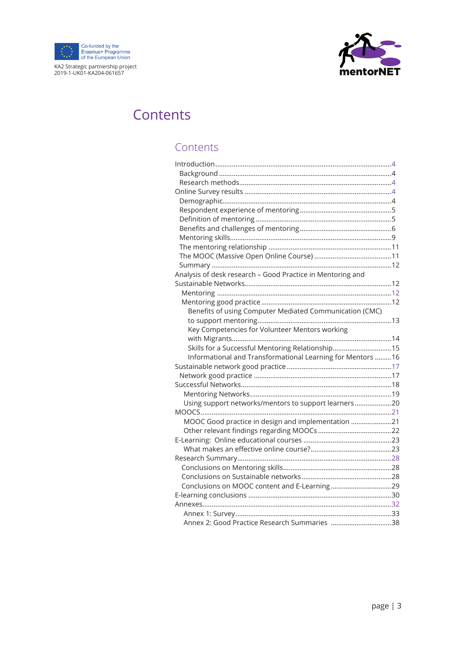



## **Contents**

### **Contents**

| Analysis of desk research - Good Practice in Mentoring and |  |
|------------------------------------------------------------|--|
|                                                            |  |
|                                                            |  |
|                                                            |  |
| Benefits of using Computer Mediated Communication (CMC)    |  |
|                                                            |  |
| Key Competencies for Volunteer Mentors working             |  |
|                                                            |  |
| Skills for a Successful Mentoring Relationship15           |  |
| Informational and Transformational Learning for Mentors 16 |  |
|                                                            |  |
|                                                            |  |
|                                                            |  |
|                                                            |  |
| Using support networks/mentors to support learners20       |  |
|                                                            |  |
| MOOC Good practice in design and implementation 21         |  |
|                                                            |  |
|                                                            |  |
|                                                            |  |
|                                                            |  |
|                                                            |  |
|                                                            |  |
|                                                            |  |
|                                                            |  |
|                                                            |  |
|                                                            |  |
| Annex 2: Good Practice Research Summaries 38               |  |
|                                                            |  |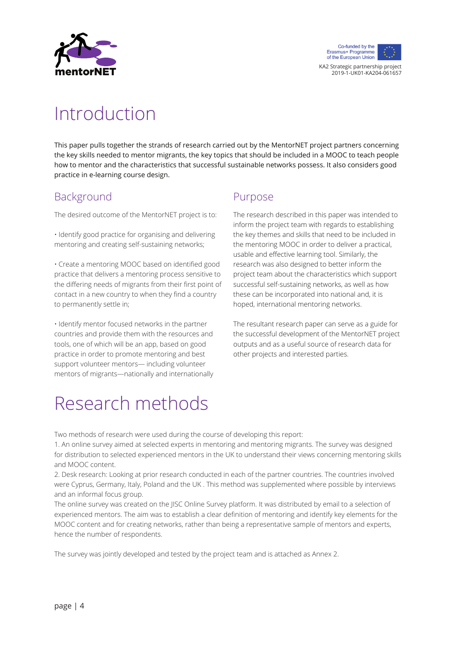



## Introduction

This paper pulls together the strands of research carried out by the MentorNET project partners concerning the key skills needed to mentor migrants, the key topics that should be included in a MOOC to teach people how to mentor and the characteristics that successful sustainable networks possess. It also considers good practice in e-learning course design.

### Background

The desired outcome of the MentorNET project is to:

• Identify good practice for organising and delivering mentoring and creating self-sustaining networks;

• Create a mentoring MOOC based on identified good practice that delivers a mentoring process sensitive to the differing needs of migrants from their first point of contact in a new country to when they find a country to permanently settle in;

• Identify mentor focused networks in the partner countries and provide them with the resources and tools, one of which will be an app, based on good practice in order to promote mentoring and best support volunteer mentors— including volunteer mentors of migrants—nationally and internationally

### Purpose

The research described in this paper was intended to inform the project team with regards to establishing the key themes and skills that need to be included in the mentoring MOOC in order to deliver a practical, usable and effective learning tool. Similarly, the research was also designed to better inform the project team about the characteristics which support successful self-sustaining networks, as well as how these can be incorporated into national and, it is hoped, international mentoring networks.

The resultant research paper can serve as a guide for the successful development of the MentorNET project outputs and as a useful source of research data for other projects and interested parties.

# Research methods

Two methods of research were used during the course of developing this report:

1. An online survey aimed at selected experts in mentoring and mentoring migrants. The survey was designed for distribution to selected experienced mentors in the UK to understand their views concerning mentoring skills and MOOC content.

2. Desk research: Looking at prior research conducted in each of the partner countries. The countries involved were Cyprus, Germany, Italy, Poland and the UK . This method was supplemented where possible by interviews and an informal focus group.

The online survey was created on the JISC Online Survey platform. It was distributed by email to a selection of experienced mentors. The aim was to establish a clear definition of mentoring and identify key elements for the MOOC content and for creating networks, rather than being a representative sample of mentors and experts, hence the number of respondents.

The survey was jointly developed and tested by the project team and is attached as Annex 2.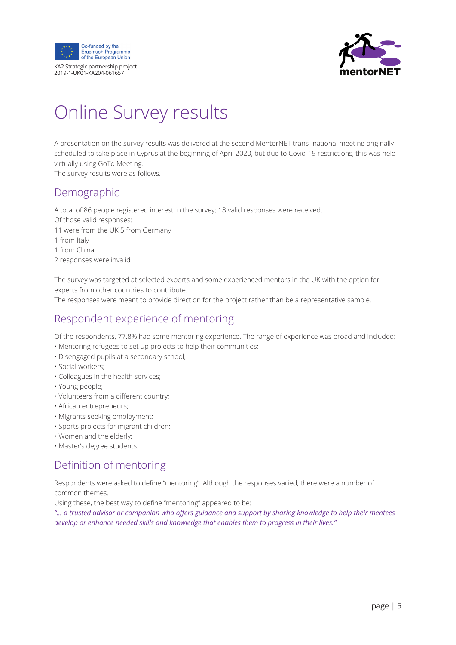





# Online Survey results

A presentation on the survey results was delivered at the second MentorNET trans- national meeting originally scheduled to take place in Cyprus at the beginning of April 2020, but due to Covid-19 restrictions, this was held virtually using GoTo Meeting. The survey results were as follows.

### Demographic

A total of 86 people registered interest in the survey; 18 valid responses were received.

- Of those valid responses:
- 11 were from the UK 5 from Germany
- 1 from Italy
- 1 from China
- 2 responses were invalid

The survey was targeted at selected experts and some experienced mentors in the UK with the option for experts from other countries to contribute.

The responses were meant to provide direction for the project rather than be a representative sample.

### Respondent experience of mentoring

Of the respondents, 77.8% had some mentoring experience. The range of experience was broad and included:

- Mentoring refugees to set up projects to help their communities;
- Disengaged pupils at a secondary school;
- Social workers;
- Colleagues in the health services;
- Young people;
- Volunteers from a different country;
- African entrepreneurs;
- Migrants seeking employment;
- Sports projects for migrant children;
- Women and the elderly;
- Master's degree students.

### Definition of mentoring

Respondents were asked to define "mentoring". Although the responses varied, there were a number of common themes.

Using these, the best way to define "mentoring" appeared to be:

*"… a trusted advisor or companion who offers guidance and support by sharing knowledge to help their mentees develop or enhance needed skills and knowledge that enables them to progress in their lives."*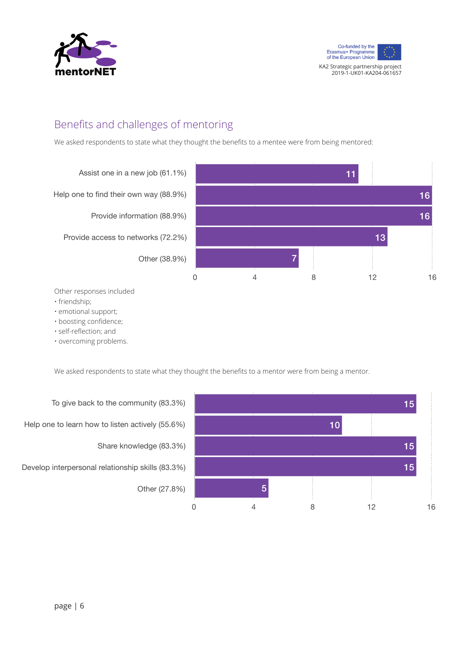



### Benefits and challenges of mentoring

We asked respondents to state what they thought the benefits to a mentee were from being mentored:



Other responses included

- friendship;
- emotional support;
- boosting confidence;
- self-reflection; and
- overcoming problems.

We asked respondents to state what they thought the benefits to a mentor were from being a mentor.



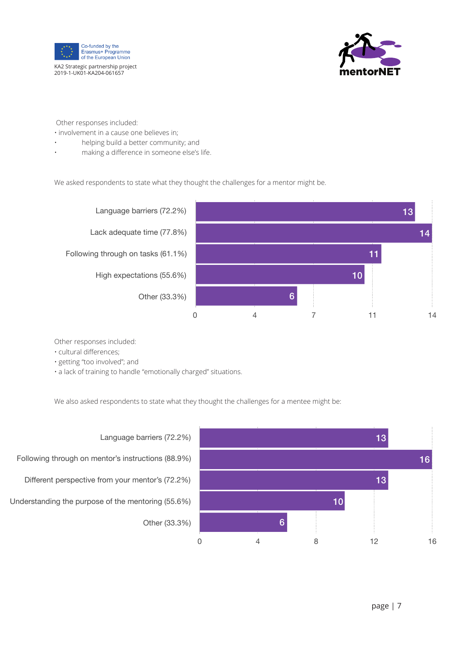



Other responses included:

- involvement in a cause one believes in;
- helping build a better community; and
- making a difference in someone else's life.

We asked respondents to state what they thought the challenges for a mentor might be.



Other responses included:

- cultural differences;
- getting "too involved"; and
- a lack of training to handle "emotionally charged" situations.

We also asked respondents to state what they thought the challenges for a mentee might be:

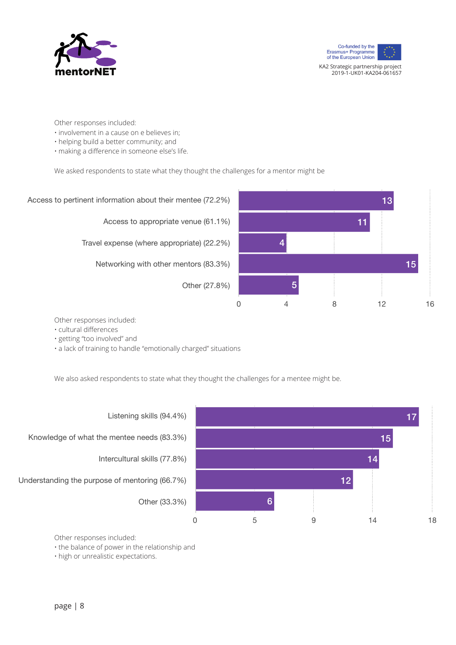



Other responses included:

- involvement in a cause on e believes in;
- helping build a better community; and
- making a difference in someone else's life.

We asked respondents to state what they thought the challenges for a mentor might be

### Access to pertinent information about their mentee (72.2%)

Access to appropriate venue (61.1%) Travel expense (where appropriate) (22.2%) Networking with other mentors (83.3%)

Other (27.8%)



Other responses included:

- cultural differences
- getting "too involved" and

• a lack of training to handle "emotionally charged" situations

We also asked respondents to state what they thought the challenges for a mentee might be.



Other responses included:

• the balance of power in the relationship and

• high or unrealistic expectations.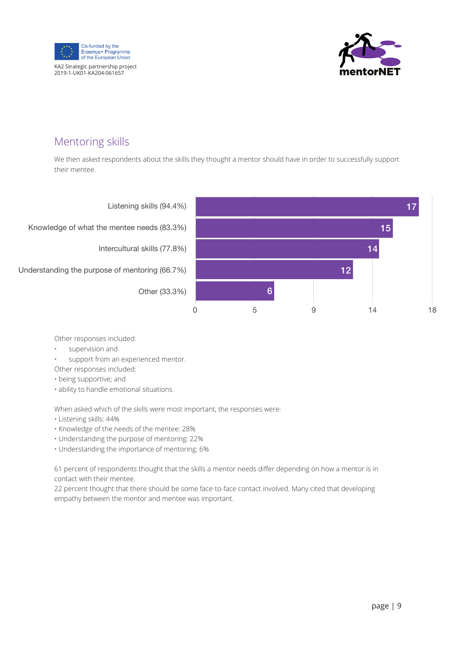



### Mentoring skills

We then asked respondents about the skills they thought a mentor should have in order to successfully support their mentee.



Other responses included:

- supervision and
- support from an experienced mentor. Other responses included:
- being supportive; and
- ability to handle emotional situations.

When asked which of the skills were most important, the responses were:

- Listening skills: 44%
- Knowledge of the needs of the mentee: 28%
- Understanding the purpose of mentoring: 22%
- Understanding the importance of mentoring: 6%

61 percent of respondents thought that the skills a mentor needs differ depending on how a mentor is in contact with their mentee.

22 percent thought that there should be some face-to-face contact involved. Many cited that developing empathy between the mentor and mentee was important.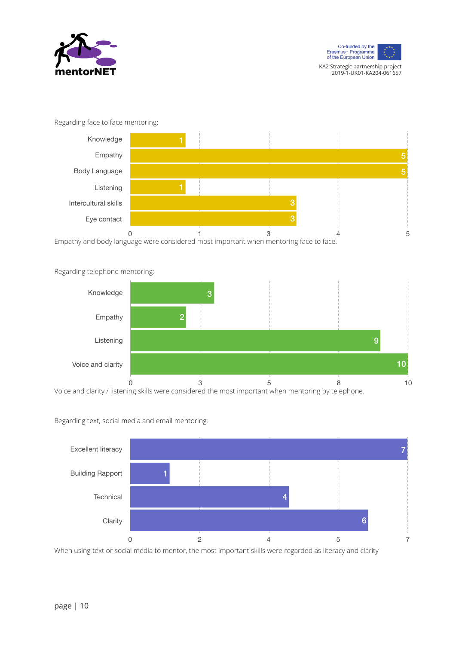

Regarding face to face mentoring:



Regarding telephone mentoring:



Regarding text, social media and email mentoring:



When using text or social media to mentor, the most important skills were regarded as literacy and clarity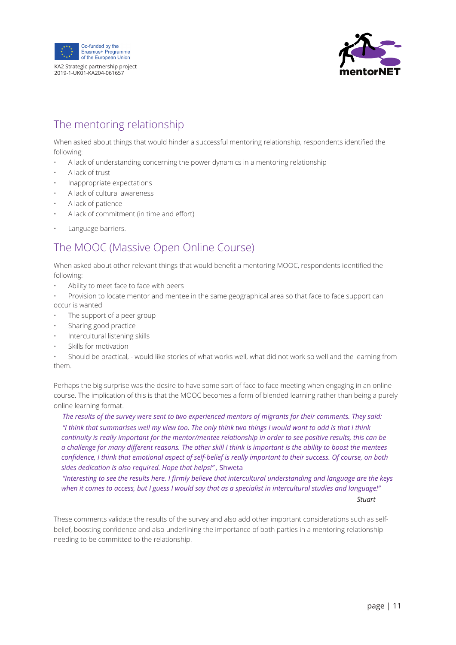



## The mentoring relationship

When asked about things that would hinder a successful mentoring relationship, respondents identified the following:

- A lack of understanding concerning the power dynamics in a mentoring relationship
- A lack of trust
- Inappropriate expectations
- A lack of cultural awareness
- A lack of patience
- A lack of commitment (in time and effort)
- Language barriers.

## The MOOC (Massive Open Online Course)

When asked about other relevant things that would benefit a mentoring MOOC, respondents identified the following:

- Ability to meet face to face with peers
- Provision to locate mentor and mentee in the same geographical area so that face to face support can occur is wanted
- The support of a peer group
- Sharing good practice
- Intercultural listening skills
- Skills for motivation
- Should be practical, would like stories of what works well, what did not work so well and the learning from them.

Perhaps the big surprise was the desire to have some sort of face to face meeting when engaging in an online course. The implication of this is that the MOOC becomes a form of blended learning rather than being a purely online learning format.

*The results of the survey were sent to two experienced mentors of migrants for their comments. They said: "I think that summarises well my view too. The only think two things I would want to add is that I think continuity is really important for the mentor/mentee relationship in order to see positive results, this can be a challenge for many different reasons. The other skill I think is important is the ability to boost the mentees confidence, I think that emotional aspect of self-belief is really important to their success. Of course, on both sides dedication is also required. Hope that helps!" ,* Shweta

*"Interesting to see the results here. I firmly believe that intercultural understanding and language are the keys when it comes to access, but I guess I would say that as a specialist in intercultural studies and language!" Stuart*

These comments validate the results of the survey and also add other important considerations such as selfbelief, boosting confidence and also underlining the importance of both parties in a mentoring relationship needing to be committed to the relationship.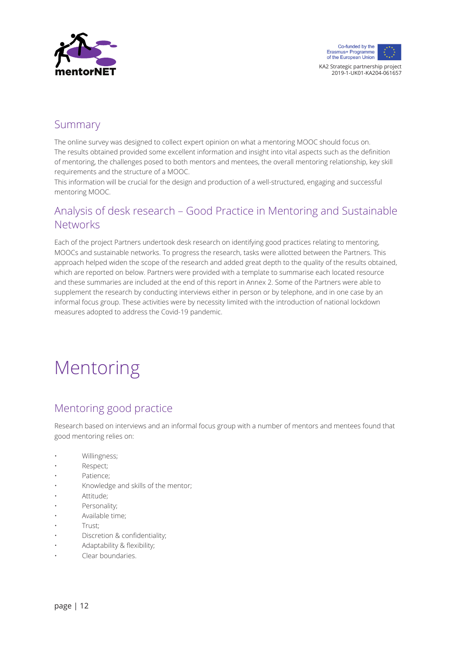



### Summary

The online survey was designed to collect expert opinion on what a mentoring MOOC should focus on. The results obtained provided some excellent information and insight into vital aspects such as the definition of mentoring, the challenges posed to both mentors and mentees, the overall mentoring relationship, key skill requirements and the structure of a MOOC.

This information will be crucial for the design and production of a well-structured, engaging and successful mentoring MOOC.

### Analysis of desk research – Good Practice in Mentoring and Sustainable Networks

Each of the project Partners undertook desk research on identifying good practices relating to mentoring, MOOCs and sustainable networks. To progress the research, tasks were allotted between the Partners. This approach helped widen the scope of the research and added great depth to the quality of the results obtained, which are reported on below. Partners were provided with a template to summarise each located resource and these summaries are included at the end of this report in Annex 2. Some of the Partners were able to supplement the research by conducting interviews either in person or by telephone, and in one case by an informal focus group. These activities were by necessity limited with the introduction of national lockdown measures adopted to address the Covid-19 pandemic.

# Mentoring

## Mentoring good practice

Research based on interviews and an informal focus group with a number of mentors and mentees found that good mentoring relies on:

- Willingness;
- Respect;
- Patience:
- Knowledge and skills of the mentor;
- Attitude;
- Personality;
- Available time;
- Trust;
- Discretion & confidentiality;
- Adaptability & flexibility;
- Clear boundaries.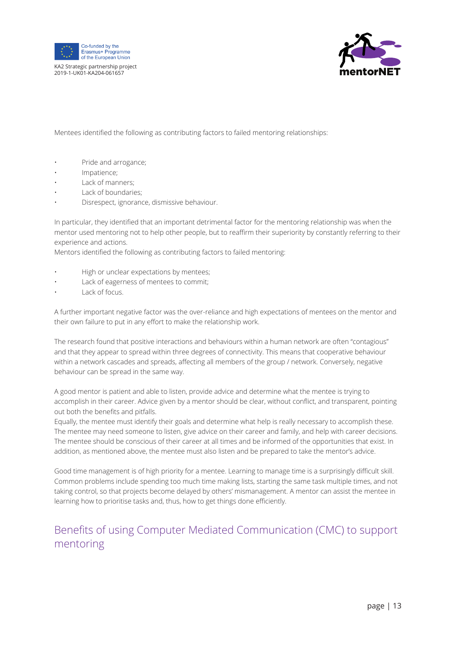



Mentees identified the following as contributing factors to failed mentoring relationships:

- Pride and arrogance;
- Impatience;
- Lack of manners;
- Lack of boundaries;
- Disrespect, ignorance, dismissive behaviour.

In particular, they identified that an important detrimental factor for the mentoring relationship was when the mentor used mentoring not to help other people, but to reaffirm their superiority by constantly referring to their experience and actions.

Mentors identified the following as contributing factors to failed mentoring:

- High or unclear expectations by mentees;
- Lack of eagerness of mentees to commit;
- Lack of focus.

A further important negative factor was the over-reliance and high expectations of mentees on the mentor and their own failure to put in any effort to make the relationship work.

The research found that positive interactions and behaviours within a human network are often "contagious" and that they appear to spread within three degrees of connectivity. This means that cooperative behaviour within a network cascades and spreads, affecting all members of the group / network. Conversely, negative behaviour can be spread in the same way.

A good mentor is patient and able to listen, provide advice and determine what the mentee is trying to accomplish in their career. Advice given by a mentor should be clear, without conflict, and transparent, pointing out both the benefits and pitfalls.

Equally, the mentee must identify their goals and determine what help is really necessary to accomplish these. The mentee may need someone to listen, give advice on their career and family, and help with career decisions. The mentee should be conscious of their career at all times and be informed of the opportunities that exist. In addition, as mentioned above, the mentee must also listen and be prepared to take the mentor's advice.

Good time management is of high priority for a mentee. Learning to manage time is a surprisingly difficult skill. Common problems include spending too much time making lists, starting the same task multiple times, and not taking control, so that projects become delayed by others' mismanagement. A mentor can assist the mentee in learning how to prioritise tasks and, thus, how to get things done efficiently.

### Benefits of using Computer Mediated Communication (CMC) to support mentoring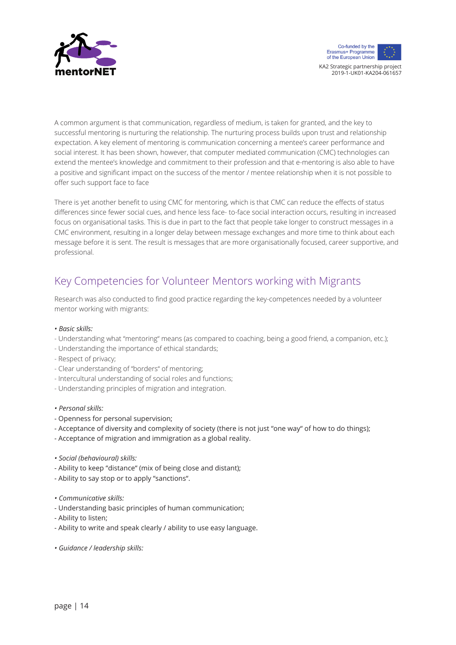



A common argument is that communication, regardless of medium, is taken for granted, and the key to successful mentoring is nurturing the relationship. The nurturing process builds upon trust and relationship expectation. A key element of mentoring is communication concerning a mentee's career performance and social interest. It has been shown, however, that computer mediated communication (CMC) technologies can extend the mentee's knowledge and commitment to their profession and that e-mentoring is also able to have a positive and significant impact on the success of the mentor / mentee relationship when it is not possible to offer such support face to face

There is yet another benefit to using CMC for mentoring, which is that CMC can reduce the effects of status differences since fewer social cues, and hence less face- to-face social interaction occurs, resulting in increased focus on organisational tasks. This is due in part to the fact that people take longer to construct messages in a CMC environment, resulting in a longer delay between message exchanges and more time to think about each message before it is sent. The result is messages that are more organisationally focused, career supportive, and professional.

### Key Competencies for Volunteer Mentors working with Migrants

Research was also conducted to find good practice regarding the key-competences needed by a volunteer mentor working with migrants:

- *Basic skills:*
- Understanding what "mentoring" means (as compared to coaching, being a good friend, a companion, etc.);
- Understanding the importance of ethical standards;
- Respect of privacy;
- Clear understanding of "borders" of mentoring;
- Intercultural understanding of social roles and functions;
- Understanding principles of migration and integration.
- *Personal skills:*
- Openness for personal supervision;
- Acceptance of diversity and complexity of society (there is not just "one way" of how to do things);
- Acceptance of migration and immigration as a global reality.
- *Social (behavioural) skills:*
- Ability to keep "distance" (mix of being close and distant);
- Ability to say stop or to apply "sanctions".
- *Communicative skills:*
- Understanding basic principles of human communication;
- Ability to listen;
- Ability to write and speak clearly / ability to use easy language.
- *Guidance / leadership skills:*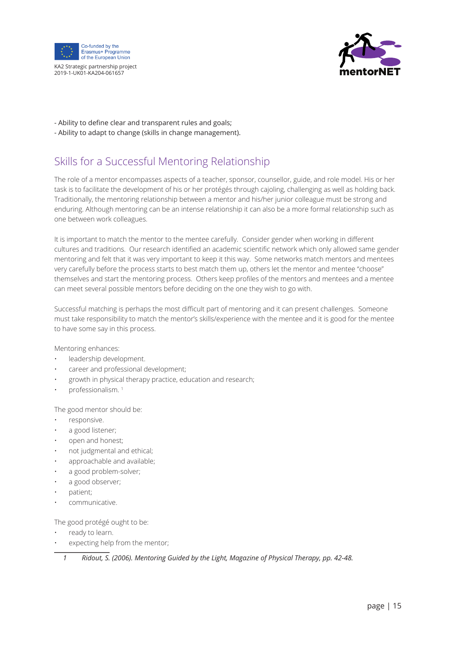



- Ability to define clear and transparent rules and goals;
- Ability to adapt to change (skills in change management).

## Skills for a Successful Mentoring Relationship

The role of a mentor encompasses aspects of a teacher, sponsor, counsellor, guide, and role model. His or her task is to facilitate the development of his or her protégés through cajoling, challenging as well as holding back. Traditionally, the mentoring relationship between a mentor and his/her junior colleague must be strong and enduring. Although mentoring can be an intense relationship it can also be a more formal relationship such as one between work colleagues.

It is important to match the mentor to the mentee carefully. Consider gender when working in different cultures and traditions. Our research identified an academic scientific network which only allowed same gender mentoring and felt that it was very important to keep it this way. Some networks match mentors and mentees very carefully before the process starts to best match them up, others let the mentor and mentee "choose" themselves and start the mentoring process. Others keep profiles of the mentors and mentees and a mentee can meet several possible mentors before deciding on the one they wish to go with.

Successful matching is perhaps the most difficult part of mentoring and it can present challenges. Someone must take responsibility to match the mentor's skills/experience with the mentee and it is good for the mentee to have some say in this process.

Mentoring enhances:

- leadership development.
- career and professional development;
- growth in physical therapy practice, education and research;
- professionalism.<sup>1</sup>

The good mentor should be:

- responsive.
- a good listener;
- open and honest;
- not judgmental and ethical;
- approachable and available;
- a good problem-solver;
- a good observer;
- patient;
- communicative.

The good protégé ought to be:

- ready to learn.
- expecting help from the mentor;

*1     Ridout, S. (2006). Mentoring Guided by the Light, Magazine of Physical Therapy, pp. 42-48.*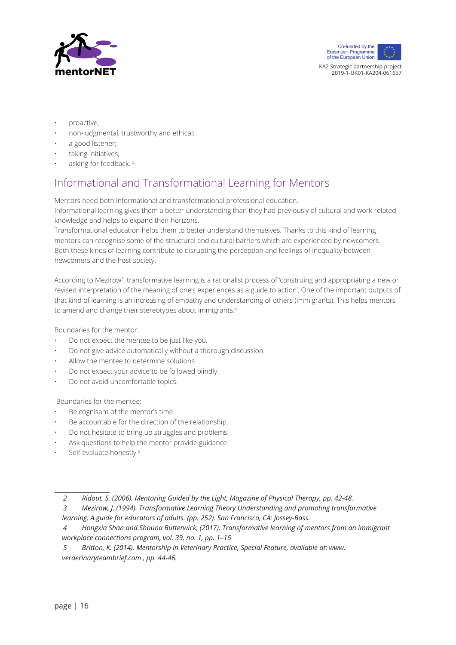



- proactive;
- non-judgmental, trustworthy and ethical;
- a good listener;
- taking initiatives;
- asking for feedback.<sup>2</sup>

### Informational and Transformational Learning for Mentors

Mentors need both informational and transformational professional education. Informational learning gives them a better understanding than they had previously of cultural and work-related knowledge and helps to expand their horizons.

Transformational education helps them to better understand themselves. Thanks to this kind of learning mentors can recognise some of the structural and cultural barriers which are experienced by newcomers. Both these kinds of learning contribute to disrupting the perception and feelings of inequality between newcomers and the host society.

According to Mezirow<sup>3</sup>, transformative learning is a rationalist process of 'construing and appropriating a new or revised interpretation of the meaning of one's experiences as a guide to action'. One of the important outputs of that kind of learning is an increasing of empathy and understanding of others (immigrants). This helps mentors to amend and change their stereotypes about immigrants.<sup>4</sup>

Boundaries for the mentor:

- Do not expect the mentee to be just like you.
- Do not give advice automatically without a thorough discussion.
- Allow the mentee to determine solutions.
- Do not expect your advice to be followed blindly.
- Do not avoid uncomfortable topics.

Boundaries for the mentee:

- Be cognisant of the mentor's time.
- Be accountable for the direction of the relationship.
- Do not hesitate to bring up struggles and problems.
- Ask questions to help the mentor provide guidance.
- Self-evaluate honestly<sup>5</sup>

*3     Mezirow, J. (1994). Transformative Learning Theory Understanding and promoting transformative learning: A guide for educators of adults. (pp. 252). San Francisco, CA: Jossey-Bass.*

*4     Hongxia Shan and Shauna Butterwick, (2017). Transformative learning of mentors from an immigrant workplace connections program, vol. 39, no. 1, pp. 1–15*

*5     Britton, K. (2014). Mentorship in Veterinary Practice, Special Feature, available at: www. veraerinaryteambrief.com , pp. 44-46.*

*<sup>2</sup> Ridout, S. (2006). Mentoring Guided by the Light, Magazine of Physical Therapy, pp. 42-48.*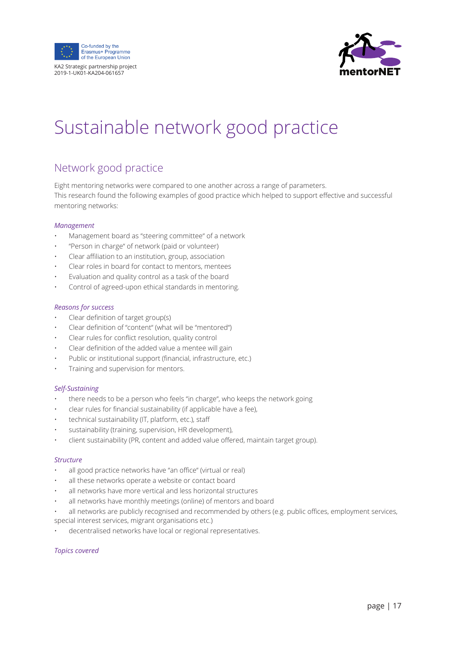



# Sustainable network good practice

### Network good practice

Eight mentoring networks were compared to one another across a range of parameters. This research found the following examples of good practice which helped to support effective and successful mentoring networks:

### *Management*

- Management board as "steering committee" of a network
- "Person in charge" of network (paid or volunteer)
- Clear affiliation to an institution, group, association
- Clear roles in board for contact to mentors, mentees
- Evaluation and quality control as a task of the board
- Control of agreed-upon ethical standards in mentoring.

### *Reasons for success*

- Clear definition of target group(s)
- Clear definition of "content" (what will be "mentored")
- Clear rules for conflict resolution, quality control
- Clear definition of the added value a mentee will gain
- Public or institutional support (financial, infrastructure, etc.)
- Training and supervision for mentors.

### *Self-Sustaining*

- there needs to be a person who feels "in charge", who keeps the network going
- clear rules for financial sustainability (if applicable have a fee),
- technical sustainability (IT, platform, etc.), staff
- sustainability (training, supervision, HR development),
- client sustainability (PR, content and added value offered, maintain target group).

#### *Structure*

- all good practice networks have "an office" (virtual or real)
- all these networks operate a website or contact board
- all networks have more vertical and less horizontal structures
- all networks have monthly meetings (online) of mentors and board
- all networks are publicly recognised and recommended by others (e.g. public offices, employment services, special interest services, migrant organisations etc.)
- decentralised networks have local or regional representatives.

### *Topics covered*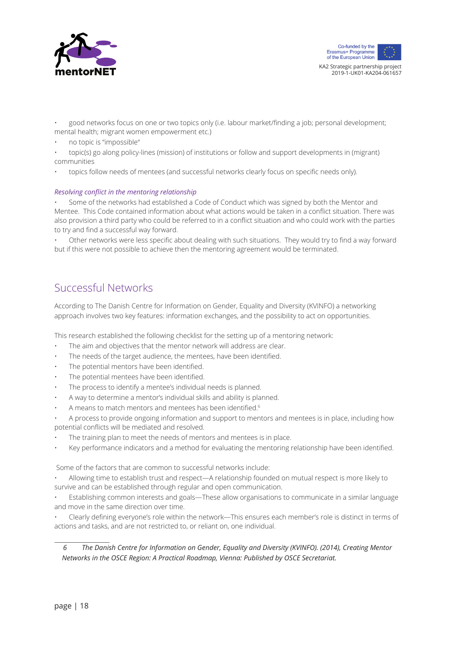



• good networks focus on one or two topics only (i.e. labour market/finding a job; personal development; mental health; migrant women empowerment etc.)

• no topic is "impossible"

• topic(s) go along policy-lines (mission) of institutions or follow and support developments in (migrant) communities

• topics follow needs of mentees (and successful networks clearly focus on specific needs only).

### *Resolving conflict in the mentoring relationship*

• Some of the networks had established a Code of Conduct which was signed by both the Mentor and Mentee. This Code contained information about what actions would be taken in a conflict situation. There was also provision a third party who could be referred to in a conflict situation and who could work with the parties to try and find a successful way forward.

• Other networks were less specific about dealing with such situations. They would try to find a way forward but if this were not possible to achieve then the mentoring agreement would be terminated.

### Successful Networks

According to The Danish Centre for Information on Gender, Equality and Diversity (KVINFO) a networking approach involves two key features: information exchanges, and the possibility to act on opportunities.

This research established the following checklist for the setting up of a mentoring network:

- The aim and objectives that the mentor network will address are clear.
- The needs of the target audience, the mentees, have been identified.
- The potential mentors have been identified.
- The potential mentees have been identified.
- The process to identify a mentee's individual needs is planned.
- A way to determine a mentor's individual skills and ability is planned.
- A means to match mentors and mentees has been identified.<sup>6</sup>

• A process to provide ongoing information and support to mentors and mentees is in place, including how potential conflicts will be mediated and resolved.

- The training plan to meet the needs of mentors and mentees is in place.
- Key performance indicators and a method for evaluating the mentoring relationship have been identified.

Some of the factors that are common to successful networks include:

• Allowing time to establish trust and respect—A relationship founded on mutual respect is more likely to survive and can be established through regular and open communication.

• Establishing common interests and goals—These allow organisations to communicate in a similar language and move in the same direction over time.

• Clearly defining everyone's role within the network—This ensures each member's role is distinct in terms of actions and tasks, and are not restricted to, or reliant on, one individual.

*6     The Danish Centre for Information on Gender, Equality and Diversity (KVINFO). (2014), Creating Mentor Networks in the OSCE Region: A Practical Roadmap, Vienna: Published by OSCE Secretariat.*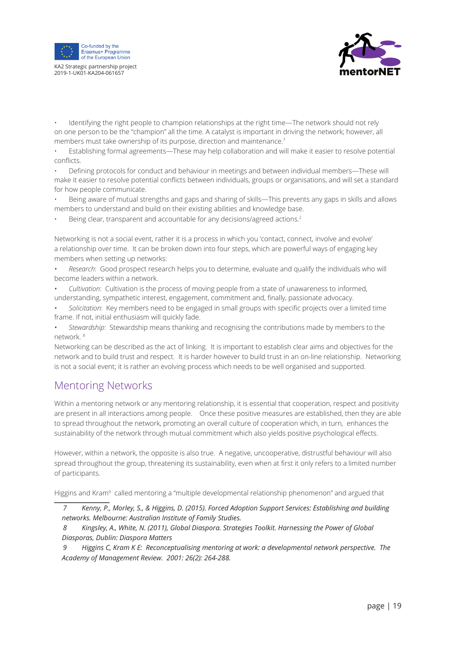

KA2 Strategic partnership project<br>2019-1-UK01-KA204-061657<br>2019-1-UK01-KA204-061657 2019-1-UK01-KA204-061657



• Identifying the right people to champion relationships at the right time—The network should not rely on one person to be the "champion" all the time. A catalyst is important in driving the network; however, all members must take ownership of its purpose, direction and maintenance.<sup>7</sup>

• Establishing formal agreements—These may help collaboration and will make it easier to resolve potential conflicts.

• Defining protocols for conduct and behaviour in meetings and between individual members—These will make it easier to resolve potential conflicts between individuals, groups or organisations, and will set a standard for how people communicate.

• Being aware of mutual strengths and gaps and sharing of skills—This prevents any gaps in skills and allows members to understand and build on their existing abilities and knowledge base.

Being clear, transparent and accountable for any decisions/agreed actions.<sup>2</sup>

Networking is not a social event, rather it is a process in which you 'contact, connect, involve and evolve' a relationship over time. It can be broken down into four steps, which are powerful ways of engaging key members when setting up networks:

*• Research*: Good prospect research helps you to determine, evaluate and qualify the individuals who will become leaders within a network.

*• Cultivation*: Cultivation is the process of moving people from a state of unawareness to informed, understanding, sympathetic interest, engagement, commitment and, finally, passionate advocacy.

*• Solicitation*: Key members need to be engaged in small groups with specific projects over a limited time frame. If not, initial enthusiasm will quickly fade.

*• Stewardship*: Stewardship means thanking and recognising the contributions made by members to the network. 8

Networking can be described as the act of linking. It is important to establish clear aims and objectives for the network and to build trust and respect. It is harder however to build trust in an on-line relationship. Networking is not a social event; it is rather an evolving process which needs to be well organised and supported.

### Mentoring Networks

Within a mentoring network or any mentoring relationship, it is essential that cooperation, respect and positivity are present in all interactions among people. Once these positive measures are established, then they are able to spread throughout the network, promoting an overall culture of cooperation which, in turn, enhances the sustainability of the network through mutual commitment which also yields positive psychological effects.

However, within a network, the opposite is also true. A negative, uncooperative, distrustful behaviour will also spread throughout the group, threatening its sustainability, even when at first it only refers to a limited number of participants.

Higgins and Kram<sup>9</sup> called mentoring a "multiple developmental relationship phenomenon" and argued that

*7     Kenny, P., Morley, S., & Higgins, D. (2015). Forced Adoption Support Services: Establishing and building networks. Melbourne: Australian Institute of Family Studies.*

*8     Kingsley, A., White, N. (2011), Global Diaspora. Strategies Toolkit. Harnessing the Power of Global Diasporas, Dublin: Diaspora Matters*

*9     Higgins C, Kram K E: Reconceptualising mentoring at work: a developmental network perspective. The Academy of Management Review. 2001: 26(2): 264-288.*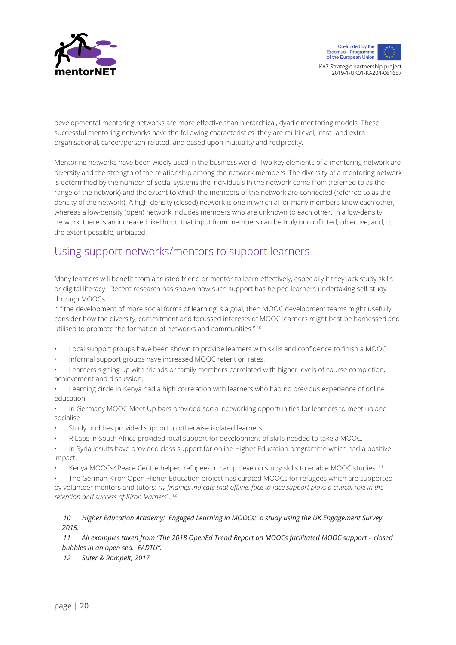



developmental mentoring networks are more effective than hierarchical, dyadic mentoring models. These successful mentoring networks have the following characteristics: they are multilevel, intra- and extraorganisational, career/person-related, and based upon mutuality and reciprocity.

Mentoring networks have been widely used in the business world. Two key elements of a mentoring network are diversity and the strength of the relationship among the network members. The diversity of a mentoring network is determined by the number of social systems the individuals in the network come from (referred to as the range of the network) and the extent to which the members of the network are connected (referred to as the density of the network). A high-density (closed) network is one in which all or many members know each other, whereas a low-density (open) network includes members who are unknown to each other. In a low-density network, there is an increased likelihood that input from members can be truly unconflicted, objective, and, to the extent possible, unbiased.

### Using support networks/mentors to support learners

Many learners will benefit from a trusted friend or mentor to learn effectively, especially if they lack study skills or digital literacy. Recent research has shown how such support has helped learners undertaking self-study through MOOCs.

 "If the development of more social forms of learning is a goal, then MOOC development teams might usefully consider how the diversity, commitment and focussed interests of MOOC learners might best be harnessed and utilised to promote the formation of networks and communities." 10

- Local support groups have been shown to provide learners with skills and confidence to finish a MOOC.
- Informal support groups have increased MOOC retention rates.

Learners signing up with friends or family members correlated with higher levels of course completion, achievement and discussion.

• Learning circle in Kenya had a high correlation with learners who had no previous experience of online education.

In Germany MOOC Meet Up bars provided social networking opportunities for learners to meet up and socialise.

- Study buddies provided support to otherwise isolated learners.
- R Labs in South Africa provided local support for development of skills needed to take a MOOC.
- In Syria Jesuits have provided class support for online Higher Education programme which had a positive impact.
- Kenya MOOCs4Peace Centre helped refugees in camp develop study skills to enable MOOC studies. <sup>11</sup>

• The German Kiron Open Higher Education project has curated MOOCs for refugees which are supported by volunteer mentors and tutors: *rly findings indicate that offline, face to face support plays a critical role in the retention and success of Kiron learners*". <sup>12</sup>

### *10     Higher Education Academy: Engaged Learning in MOOCs: a study using the UK Engagement Survey. 2015.*

*11     All examples taken from "The 2018 OpenEd Trend Report on MOOCs facilitated MOOC support – closed bubbles in an open sea. EADTU".*

*12     Suter & Rampelt, 2017*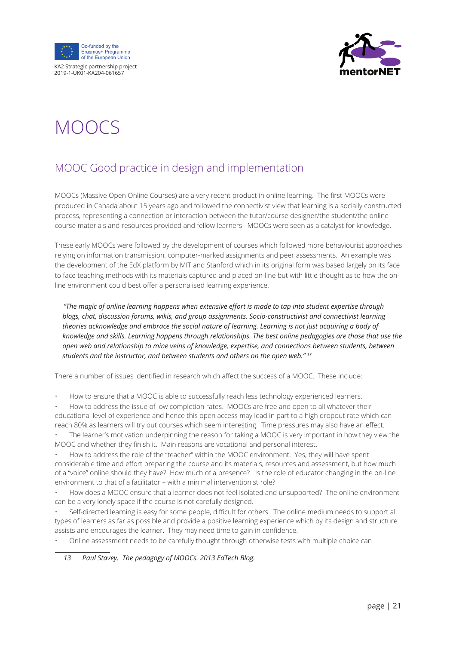



# **MOOCS**

## MOOC Good practice in design and implementation

MOOCs (Massive Open Online Courses) are a very recent product in online learning. The first MOOCs were produced in Canada about 15 years ago and followed the connectivist view that learning is a socially constructed process, representing a connection or interaction between the tutor/course designer/the student/the online course materials and resources provided and fellow learners. MOOCs were seen as a catalyst for knowledge.

These early MOOCs were followed by the development of courses which followed more behaviourist approaches relying on information transmission, computer-marked assignments and peer assessments. An example was the development of the EdX platform by MIT and Stanford which in its original form was based largely on its face to face teaching methods with its materials captured and placed on-line but with little thought as to how the online environment could best offer a personalised learning experience.

*"The magic of online learning happens when extensive effort is made to tap into student expertise through blogs, chat, discussion forums, wikis, and group assignments. Socio-constructivist and connectivist learning theories acknowledge and embrace the social nature of learning. Learning is not just acquiring a body of knowledge and skills. Learning happens through relationships. The best online pedagogies are those that use the open web and relationship to mine veins of knowledge, expertise, and connections between students, between students and the instructor, and between students and others on the open web." <sup>13</sup>*

There a number of issues identified in research which affect the success of a MOOC. These include:

• How to ensure that a MOOC is able to successfully reach less technology experienced learners.

• How to address the issue of low completion rates. MOOCs are free and open to all whatever their educational level of experience and hence this open access may lead in part to a high dropout rate which can reach 80% as learners will try out courses which seem interesting. Time pressures may also have an effect.

The learner's motivation underpinning the reason for taking a MOOC is very important in how they view the MOOC and whether they finish it. Main reasons are vocational and personal interest.

• How to address the role of the "teacher" within the MOOC environment. Yes, they will have spent considerable time and effort preparing the course and its materials, resources and assessment, but how much of a "voice" online should they have? How much of a presence? Is the role of educator changing in the on-line environment to that of a facilitator – with a minimal interventionist role?

• How does a MOOC ensure that a learner does not feel isolated and unsupported? The online environment can be a very lonely space if the course is not carefully designed.

• Self-directed learning is easy for some people, difficult for others. The online medium needs to support all types of learners as far as possible and provide a positive learning experience which by its design and structure assists and encourages the learner. They may need time to gain in confidence.

• Online assessment needs to be carefully thought through otherwise tests with multiple choice can

*13     Paul Stavey. The pedagogy of MOOCs. 2013 EdTech Blog.*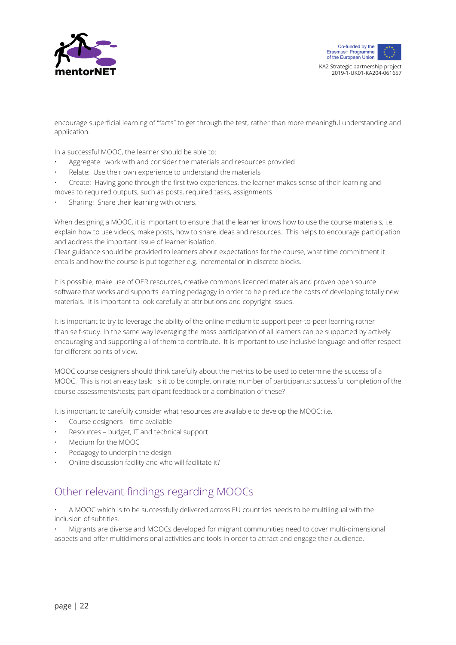



encourage superficial learning of "facts" to get through the test, rather than more meaningful understanding and application.

In a successful MOOC, the learner should be able to:

- Aggregate: work with and consider the materials and resources provided
- Relate: Use their own experience to understand the materials
- Create: Having gone through the first two experiences, the learner makes sense of their learning and moves to required outputs, such as posts, required tasks, assignments
- Sharing: Share their learning with others.

When designing a MOOC, it is important to ensure that the learner knows how to use the course materials, i.e. explain how to use videos, make posts, how to share ideas and resources. This helps to encourage participation and address the important issue of learner isolation.

Clear guidance should be provided to learners about expectations for the course, what time commitment it entails and how the course is put together e.g. incremental or in discrete blocks.

It is possible, make use of OER resources, creative commons licenced materials and proven open source software that works and supports learning pedagogy in order to help reduce the costs of developing totally new materials. It is important to look carefully at attributions and copyright issues.

It is important to try to leverage the ability of the online medium to support peer-to-peer learning rather than self-study. In the same way leveraging the mass participation of all learners can be supported by actively encouraging and supporting all of them to contribute. It is important to use inclusive language and offer respect for different points of view.

MOOC course designers should think carefully about the metrics to be used to determine the success of a MOOC. This is not an easy task: is it to be completion rate; number of participants; successful completion of the course assessments/tests; participant feedback or a combination of these?

It is important to carefully consider what resources are available to develop the MOOC: i.e.

- Course designers time available
- Resources budget, IT and technical support
- Medium for the MOOC
- Pedagogy to underpin the design
- Online discussion facility and who will facilitate it?

### Other relevant findings regarding MOOCs

• A MOOC which is to be successfully delivered across EU countries needs to be multilingual with the inclusion of subtitles.

• Migrants are diverse and MOOCs developed for migrant communities need to cover multi-dimensional aspects and offer multidimensional activities and tools in order to attract and engage their audience.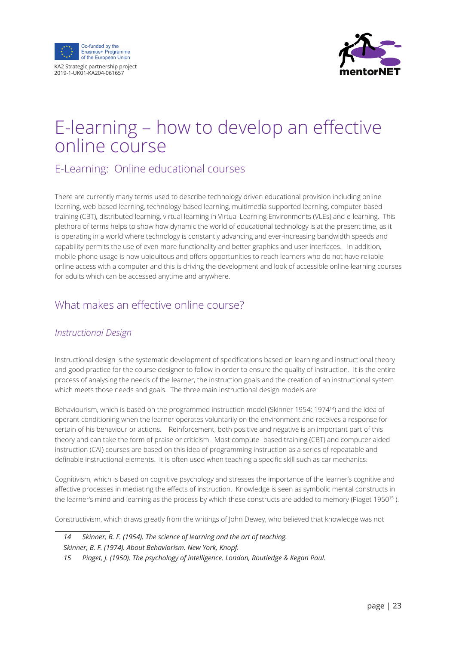



## E-learning – how to develop an effective online course

### E-Learning: Online educational courses

There are currently many terms used to describe technology driven educational provision including online learning, web-based learning, technology-based learning, multimedia supported learning, computer-based training (CBT), distributed learning, virtual learning in Virtual Learning Environments (VLEs) and e-learning. This plethora of terms helps to show how dynamic the world of educational technology is at the present time, as it is operating in a world where technology is constantly advancing and ever-increasing bandwidth speeds and capability permits the use of even more functionality and better graphics and user interfaces. In addition, mobile phone usage is now ubiquitous and offers opportunities to reach learners who do not have reliable online access with a computer and this is driving the development and look of accessible online learning courses for adults which can be accessed anytime and anywhere.

### What makes an effective online course?

### *Instructional Design*

Instructional design is the systematic development of specifications based on learning and instructional theory and good practice for the course designer to follow in order to ensure the quality of instruction. It is the entire process of analysing the needs of the learner, the instruction goals and the creation of an instructional system which meets those needs and goals. The three main instructional design models are:

Behaviourism, which is based on the programmed instruction model (Skinner 1954; 1974<sup>14</sup>) and the idea of operant conditioning when the learner operates voluntarily on the environment and receives a response for certain of his behaviour or actions. Reinforcement, both positive and negative is an important part of this theory and can take the form of praise or criticism. Most compute- based training (CBT) and computer aided instruction (CAI) courses are based on this idea of programming instruction as a series of repeatable and definable instructional elements. It is often used when teaching a specific skill such as car mechanics.

Cognitivism, which is based on cognitive psychology and stresses the importance of the learner's cognitive and affective processes in mediating the effects of instruction. Knowledge is seen as symbolic mental constructs in the learner's mind and learning as the process by which these constructs are added to memory (Piaget 1950<sup>15</sup>).

Constructivism, which draws greatly from the writings of John Dewey, who believed that knowledge was not

*14     Skinner, B. F. (1954). The science of learning and the art of teaching.*

*Skinner, B. F. (1974). About Behaviorism. New York, Knopf.*

*15     Piaget, J. (1950). The psychology of intelligence. London, Routledge & Kegan Paul.*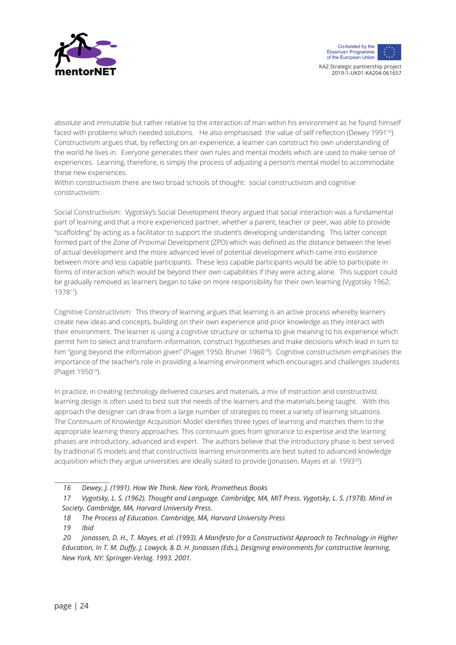



absolute and immutable but rather relative to the interaction of man within his environment as he found himself faced with problems which needed solutions. He also emphasised the value of self-reflection (Dewey 1991<sup>16</sup>). Constructivism argues that, by reflecting on an experience, a learner can construct his own understanding of the world he lives in. Everyone generates their own rules and mental models which are used to make sense of experiences. Learning, therefore, is simply the process of adjusting a person's mental model to accommodate these new experiences.

Within constructivism there are two broad schools of thought: social constructivism and cognitive constructivism:

Social Constructivism: Vygotsky's Social Development theory argued that social interaction was a fundamental part of learning and that a more experienced partner, whether a parent, teacher or peer, was able to provide "scaffolding" by acting as a facilitator to support the student's developing understanding. This latter concept formed part of the Zone of Proximal Development (ZPD) which was defined as the distance between the level of actual development and the more advanced level of potential development which came into existence between more and less capable participants. These less capable participants would be able to participate in forms of interaction which would be beyond their own capabilities if they were acting alone. This support could be gradually removed as learners began to take on more responsibility for their own learning (Vygotsky 1962; 1978<sup>17</sup>).

Cognitive Constructivism: This theory of learning argues that learning is an active process whereby learners create new ideas and concepts, building on their own experience and prior knowledge as they interact with their environment. The learner is using a cognitive structure or schema to give meaning to his experience which permit him to select and transform information, construct hypotheses and make decisions which lead in turn to him "going beyond the information given" (Piaget 1950; Bruner 1960<sup>18</sup>). Cognitive constructivism emphasises the importance of the teacher's role in providing a learning environment which encourages and challenges students (Piaget 195019).

In practice, in creating technology delivered courses and materials, a mix of instruction and constructivist learning design is often used to best suit the needs of the learners and the materials being taught. With this approach the designer can draw from a large number of strategies to meet a variety of learning situations. The Continuum of Knowledge Acquisition Model identifies three types of learning and matches them to the appropriate learning theory approaches. This continuum goes from ignorance to expertise and the learning phases are introductory, advanced and expert. The authors believe that the introductory phase is best served by traditional IS models and that constructivist learning environments are best suited to advanced knowledge acquisition which they argue universities are ideally suited to provide (Jonassen, Mayes et al. 1993<sup>20</sup>).

*<sup>16</sup> Dewey, J. (1991). How We Think. New York, Prometheus Books*

*<sup>17</sup> Vygotsky, L. S. (1962). Thought and Language. Cambridge, MA, MIT Press. Vygotsky, L. S. (1978). Mind in Society. Cambridge, MA, Harvard University Press.*

*<sup>18</sup> The Process of Education. Cambridge, MA, Harvard University Press*

*<sup>19</sup> Ibid*

*<sup>20</sup> Jonassen, D. H., T. Mayes, et al. (1993). A Manifesto for a Constructivist Approach to Technology in Higher Education, In T. M. Duffy, J. Lowyck, & D. H. Jonassen (Eds.), Designing environments for constructive learning, New York, NY: Springer-Verlag. 1993. 2001.*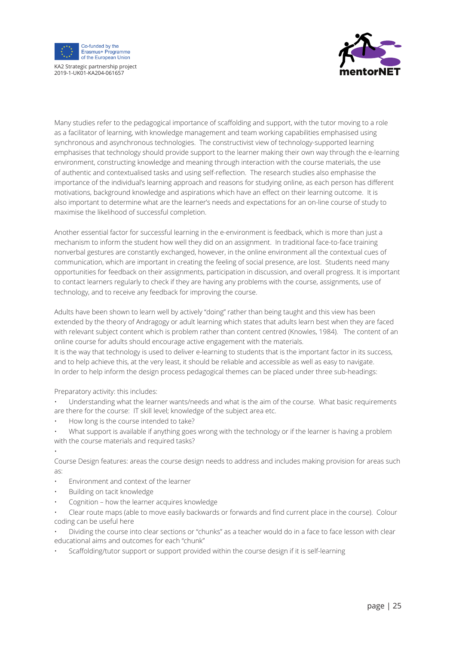

KA2 Strategic partnership project<br>2019-1-UK01-KA204-061657<br>2019-1-UK01-KA204-061657 2019-1-UK01-KA204-061657



Many studies refer to the pedagogical importance of scaffolding and support, with the tutor moving to a role as a facilitator of learning, with knowledge management and team working capabilities emphasised using synchronous and asynchronous technologies. The constructivist view of technology-supported learning emphasises that technology should provide support to the learner making their own way through the e-learning environment, constructing knowledge and meaning through interaction with the course materials, the use of authentic and contextualised tasks and using self-reflection. The research studies also emphasise the importance of the individual's learning approach and reasons for studying online, as each person has different motivations, background knowledge and aspirations which have an effect on their learning outcome. It is also important to determine what are the learner's needs and expectations for an on-line course of study to maximise the likelihood of successful completion.

Another essential factor for successful learning in the e-environment is feedback, which is more than just a mechanism to inform the student how well they did on an assignment. In traditional face-to-face training nonverbal gestures are constantly exchanged, however, in the online environment all the contextual cues of communication, which are important in creating the feeling of social presence, are lost. Students need many opportunities for feedback on their assignments, participation in discussion, and overall progress. It is important to contact learners regularly to check if they are having any problems with the course, assignments, use of technology, and to receive any feedback for improving the course.

Adults have been shown to learn well by actively "doing" rather than being taught and this view has been extended by the theory of Andragogy or adult learning which states that adults learn best when they are faced with relevant subject content which is problem rather than content centred (Knowles, 1984). The content of an online course for adults should encourage active engagement with the materials.

It is the way that technology is used to deliver e-learning to students that is the important factor in its success, and to help achieve this, at the very least, it should be reliable and accessible as well as easy to navigate. In order to help inform the design process pedagogical themes can be placed under three sub-headings:

Preparatory activity: this includes:

• Understanding what the learner wants/needs and what is the aim of the course. What basic requirements are there for the course: IT skill level; knowledge of the subject area etc.

- How long is the course intended to take?
- What support is available if anything goes wrong with the technology or if the learner is having a problem with the course materials and required tasks?

Course Design features: areas the course design needs to address and includes making provision for areas such as:

- Environment and context of the learner
- Building on tacit knowledge

•

• Cognition – how the learner acquires knowledge

• Clear route maps (able to move easily backwards or forwards and find current place in the course). Colour coding can be useful here

• Dividing the course into clear sections or "chunks" as a teacher would do in a face to face lesson with clear educational aims and outcomes for each "chunk"

• Scaffolding/tutor support or support provided within the course design if it is self-learning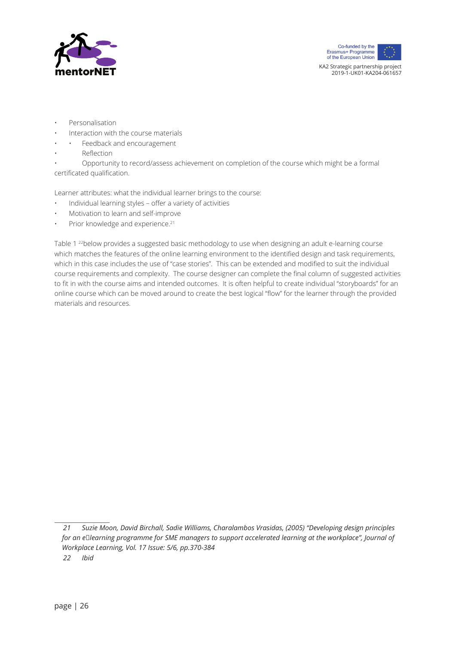



- **Personalisation**
- Interaction with the course materials
- • Feedback and encouragement
- **Reflection**

• Opportunity to record/assess achievement on completion of the course which might be a formal certificated qualification.

Learner attributes: what the individual learner brings to the course:

- Individual learning styles offer a variety of activities
- Motivation to learn and self-improve
- Prior knowledge and experience.<sup>21</sup>

Table 1<sup>22</sup>below provides a suggested basic methodology to use when designing an adult e-learning course which matches the features of the online learning environment to the identified design and task requirements, which in this case includes the use of "case stories". This can be extended and modified to suit the individual course requirements and complexity. The course designer can complete the final column of suggested activities to fit in with the course aims and intended outcomes. It is often helpful to create individual "storyboards" for an online course which can be moved around to create the best logical "flow" for the learner through the provided materials and resources.

*<sup>21</sup> Suzie Moon, David Birchall, Sadie Williams, Charalambos Vrasidas, (2005) "Developing design principles for an e*□learning programme for SME managers to support accelerated learning at the workplace", Journal of *Workplace Learning, Vol. 17 Issue: 5/6, pp.370-384 22     Ibid*

page | 26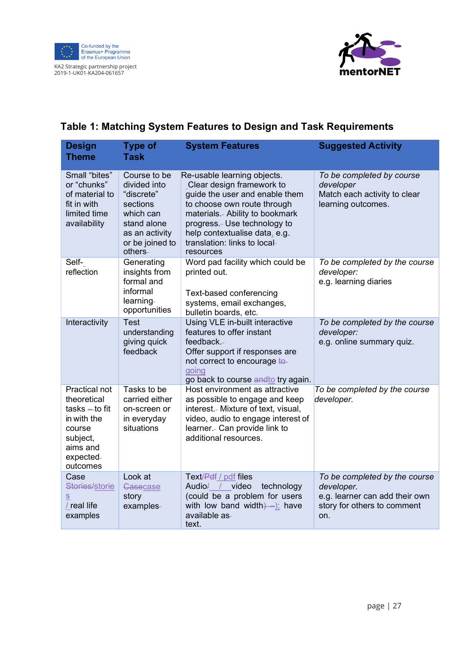



#### **Design** Theme Type of Task System Features Suggested Activity Small "bites" or "chunks" of material to fit in with limited time availability Course to be divided into "discrete" sections which can stand alone as an activity or be joined to others Re-usable learning objects. Clear design framework to guide the user and enable them to choose own route through materials.- Ability to bookmark progress.- Use technology to help contextualise data, e.g. translation: links to local resources To be completed by course developer Match each activity to clear learning outcomes. Selfreflection Generating insights from formal and informal learning opportunities Word pad facility which could be printed out. Text-based conferencing systems, email exchanges, bulletin boards, etc. To be completed by the course developer: e.g. learning diaries Interactivity Test understanding giving quick feedback Using VLE in-built interactive features to offer instant feedback. Offer support if responses are not correct to encourage togoing go back to course and to try again. To be completed by the course developer: e.g. online summary quiz. Practical not theoretical tasks – to fit in with the course subject, aims and expected outcomes Tasks to be carried either on-screen or in everyday situations Host environment as attractive as possible to engage and keep interest. Mixture of text, visual, video, audio to engage interest of learner.- Can provide link to additional resources. To be completed by the course developer. Case Stories/storie s / real life examples Look at **Casecase** story examples Text/Pdf / pdf files Audio/ / video technology (could be a problem for users with low band width $) -$ ); have available as text. To be completed by the course developer. e.g. learner can add their own story for others to comment on.

### Table 1: Matching System Features to Design and Task Requirements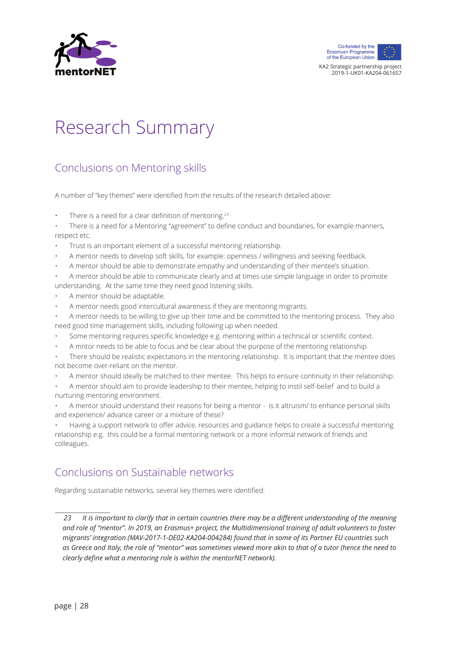



## Research Summary

### Conclusions on Mentoring skills

A number of "key themes" were identified from the results of the research detailed above:

There is a need for a clear definition of mentoring.<sup>23</sup>

There is a need for a Mentoring "agreement" to define conduct and boundaries, for example manners, respect etc.

- Trust is an important element of a successful mentoring relationship.
- A mentor needs to develop soft skills, for example: openness / willingness and seeking feedback.
- A mentor should be able to demonstrate empathy and understanding of their mentee's situation.

• A mentor should be able to communicate clearly and at times use simple language in order to promote understanding. At the same time they need good listening skills.

- A mentor should be adaptable.
- A mentor needs good intercultural awareness if they are mentoring migrants.

• A mentor needs to be willing to give up their time and be committed to the mentoring process. They also need good time management skills, including following up when needed.

- Some mentoring requires specific knowledge e.g. mentoring within a technical or scientific context.
- A mntor needs to be able to focus and be clear about the purpose of the mentoring relationship.

There should be realistic expectations in the mentoring relationship. It is important that the mentee does not become over-reliant on the mentor.

- A mentor should ideally be matched to their mentee. This helps to ensure continuity in their relationship.
- A mentor should aim to provide leadership to their mentee, helping to instil self-belief and to build a nurturing mentoring environment.

• A mentor should understand their reasons for being a mentor - is it altruism/ to enhance personal skills and experience/ advance career or a mixture of these?

• Having a support network to offer advice, resources and guidance helps to create a successful mentoring relationship e.g. this could be a formal mentoring network or a more informal network of friends and colleagues.

### Conclusions on Sustainable networks

Regarding sustainable networks, several key themes were identified:

*23     It is important to clarify that in certain countries there may be a different understanding of the meaning and role of "mentor". In 2019, an Erasmus+ project, the Multidimensional training of adult volunteers to foster migrants' integration (MAV-2017-1-DE02-KA204-004284) found that in some of its Partner EU countries such as Greece and Italy, the role of "mentor" was sometimes viewed more akin to that of a tutor (hence the need to clearly define what a mentoring role is within the mentorNET network).*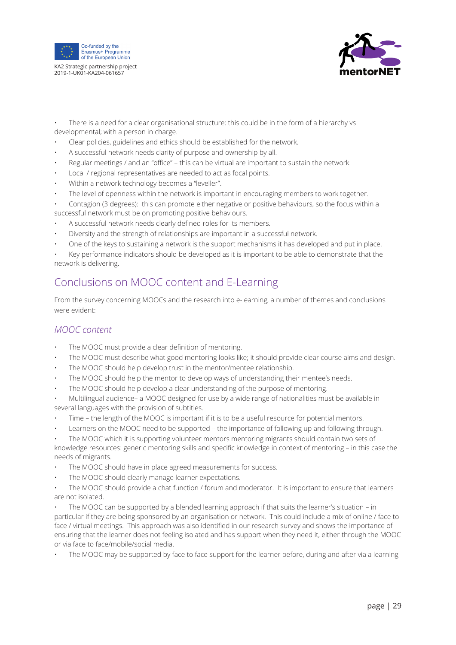

KA2 Strategic partnership project<br>2019-1-UK01-KA204-061657<br>2019-1-UK01-KA204-061657 2019-1-UK01-KA204-061657



There is a need for a clear organisational structure: this could be in the form of a hierarchy vs developmental; with a person in charge.

- Clear policies, guidelines and ethics should be established for the network.
- A successful network needs clarity of purpose and ownership by all.
- Regular meetings / and an "office" this can be virtual are important to sustain the network.
- Local / regional representatives are needed to act as focal points.
- Within a network technology becomes a "leveller".
- The level of openness within the network is important in encouraging members to work together.
- Contagion (3 degrees): this can promote either negative or positive behaviours, so the focus within a successful network must be on promoting positive behaviours.
- A successful network needs clearly defined roles for its members.
- Diversity and the strength of relationships are important in a successful network.
- One of the keys to sustaining a network is the support mechanisms it has developed and put in place.

• Key performance indicators should be developed as it is important to be able to demonstrate that the network is delivering.

### Conclusions on MOOC content and E-Learning

From the survey concerning MOOCs and the research into e-learning, a number of themes and conclusions were evident:

### *MOOC content*

- The MOOC must provide a clear definition of mentoring.
- The MOOC must describe what good mentoring looks like; it should provide clear course aims and design.
- The MOOC should help develop trust in the mentor/mentee relationship.
- The MOOC should help the mentor to develop ways of understanding their mentee's needs.
- The MOOC should help develop a clear understanding of the purpose of mentoring.

• Multilingual audience– a MOOC designed for use by a wide range of nationalities must be available in several languages with the provision of subtitles.

- Time the length of the MOOC is important if it is to be a useful resource for potential mentors.
- Learners on the MOOC need to be supported the importance of following up and following through.
- The MOOC which it is supporting volunteer mentors mentoring migrants should contain two sets of knowledge resources: generic mentoring skills and specific knowledge in context of mentoring – in this case the needs of migrants.
- The MOOC should have in place agreed measurements for success.
- The MOOC should clearly manage learner expectations.
- The MOOC should provide a chat function / forum and moderator. It is important to ensure that learners are not isolated.

• The MOOC can be supported by a blended learning approach if that suits the learner's situation – in particular if they are being sponsored by an organisation or network. This could include a mix of online / face to face / virtual meetings. This approach was also identified in our research survey and shows the importance of ensuring that the learner does not feeling isolated and has support when they need it, either through the MOOC or via face to face/mobile/social media.

The MOOC may be supported by face to face support for the learner before, during and after via a learning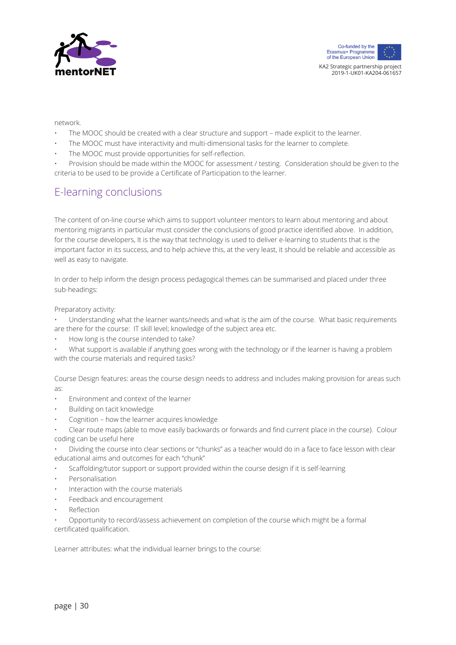



network.

- The MOOC should be created with a clear structure and support made explicit to the learner.
- The MOOC must have interactivity and multi-dimensional tasks for the learner to complete.
- The MOOC must provide opportunities for self-reflection.

• Provision should be made within the MOOC for assessment / testing. Consideration should be given to the criteria to be used to be provide a Certificate of Participation to the learner.

### E-learning conclusions

The content of on-line course which aims to support volunteer mentors to learn about mentoring and about mentoring migrants in particular must consider the conclusions of good practice identified above. In addition, for the course developers, It is the way that technology is used to deliver e-learning to students that is the important factor in its success, and to help achieve this, at the very least, it should be reliable and accessible as well as easy to navigate.

In order to help inform the design process pedagogical themes can be summarised and placed under three sub-headings:

Preparatory activity:

• Understanding what the learner wants/needs and what is the aim of the course. What basic requirements are there for the course: IT skill level; knowledge of the subject area etc.

• How long is the course intended to take?

• What support is available if anything goes wrong with the technology or if the learner is having a problem with the course materials and required tasks?

Course Design features: areas the course design needs to address and includes making provision for areas such as:

- Environment and context of the learner
- Building on tacit knowledge
- Cognition how the learner acquires knowledge

• Clear route maps (able to move easily backwards or forwards and find current place in the course). Colour coding can be useful here

• Dividing the course into clear sections or "chunks" as a teacher would do in a face to face lesson with clear educational aims and outcomes for each "chunk"

- Scaffolding/tutor support or support provided within the course design if it is self-learning
- Personalisation
- Interaction with the course materials
- Feedback and encouragement
- **Reflection**

• Opportunity to record/assess achievement on completion of the course which might be a formal certificated qualification.

Learner attributes: what the individual learner brings to the course: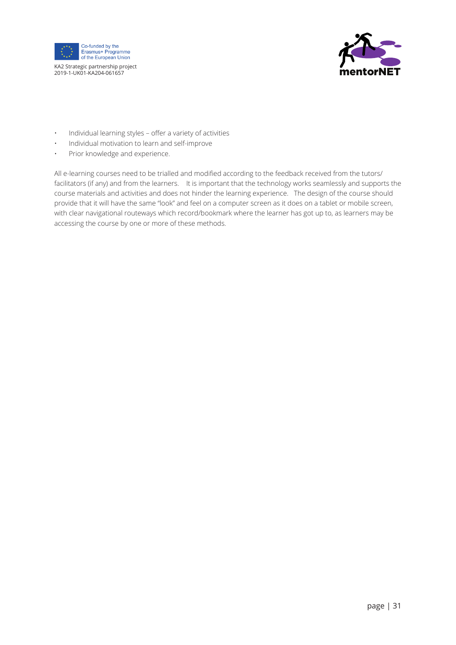



- Individual learning styles offer a variety of activities
- Individual motivation to learn and self-improve
- Prior knowledge and experience.

All e-learning courses need to be trialled and modified according to the feedback received from the tutors/ facilitators (if any) and from the learners. It is important that the technology works seamlessly and supports the course materials and activities and does not hinder the learning experience. The design of the course should provide that it will have the same "look" and feel on a computer screen as it does on a tablet or mobile screen, with clear navigational routeways which record/bookmark where the learner has got up to, as learners may be accessing the course by one or more of these methods.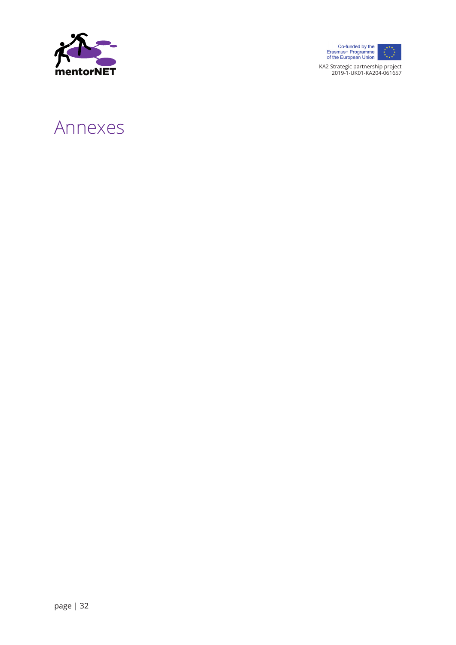



## Annexes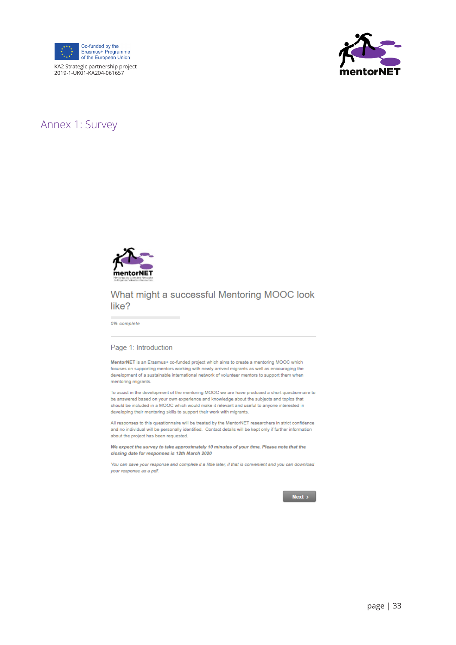



### Annex 1: Survey



### What might a successful Mentoring MOOC look like?

0% complete

#### Page 1: Introduction

MentorNET is an Erasmus+ co-funded project which aims to create a mentoring MOOC which focuses on supporting mentors working with newly arrived migrants as well as encouraging the development of a sustainable international network of volunteer mentors to support them when mentoring migrants.

To assist in the development of the mentoring MOOC we are have produced a short questionnaire to be answered based on your own experience and knowledge about the subjects and topics that should be included in a MOOC which would make it relevant and useful to anyone interested in developing their mentoring skills to support their work with migrants.

All responses to this questionnaire will be treated by the MentorNET researchers in strict confidence and no individual will be personally identified. Contact details will be kept only if further information about the project has been requested.

We expect the survey to take approximately 10 minutes of your time. Please note that the closing date for responses is 12th March 2020

You can save your response and complete it a little later, if that is convenient and you can download your response as a pdf.

 $Next >$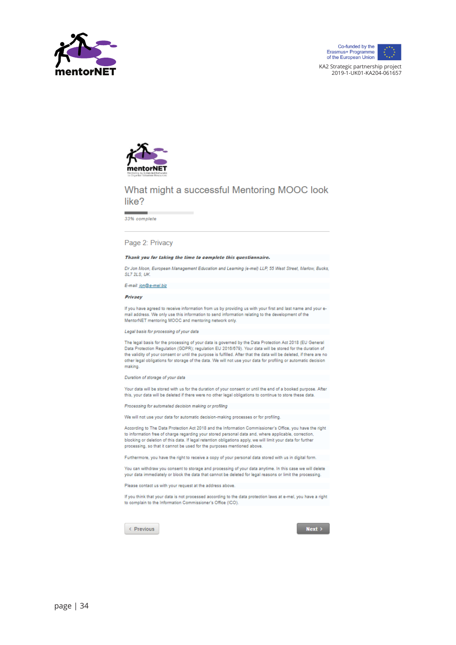





### What might a successful Mentoring MOOC look like?

33% complete

#### Page 2: Privacy

#### Thank you for taking the time to complete this questionnaire.

Dr Jon Moon, European Management Education and Learning (e-mel) LLP, 55 West Street, Marlow, Bucks, SLZ 2LS TIK

#### E-mail: jon@e-mel.biz

#### Privacy

If you have agreed to receive information from us by providing us with your first and last name and your email address. We only use this information to send information relating to the development of the MentorNET mentoring MOOC and mentoring network only.

#### Legal basis for processing of your data

The legal basis for the processing of your data is governed by the Data Protection Act 2018 (EU General Data Protection Regulation (GDPR); regulation EU 2016/679). Your data will be stored for the duration of the validity of your consent or until the purpose is fulfilled. After that the data will be deleted, if there are no other legal obligations for storage of the data. We will not use your data for profiling or automatic decision making.

Duration of storage of your data

Your data will be stored with us for the duration of your consent or until the end of a booked purpose. After this, your data will be deleted if there were no other legal obligations to continue to store these data.

Processing for automated decision making or profiling

We will not use your data for automatic decision-making processes or for profiling.

According to The Data Protection Act 2018 and the Information Commissioner's Office, you have the right to information free of charge regarding your stored personal data and, where applicable, correction, blocking or deletion of this data. If legal retention obligations apply, we will limit your data for further processing, so that it cannot be used for the purposes mentioned above.

Furthermore, you have the right to receive a copy of your personal data stored with us in digital form.

You can withdraw you consent to storage and processing of your data anytime. In this case we will delete your data immediately or block the data that cannot be deleted for legal reasons or limit the processing.

Please contact us with your request at the address above.

If you think that your data is not processed according to the data protection laws at e-mel, you have a right to complain to the Information Commissioner's Office (ICO).

< Previous

 $Next >$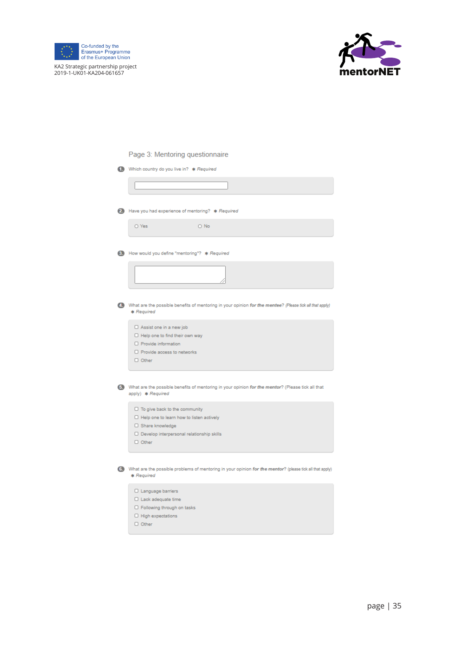



| Page 3: Mentoring questionnaire |  |  |
|---------------------------------|--|--|
|---------------------------------|--|--|

|           | Which country do you live in? * Required                                                                               |
|-----------|------------------------------------------------------------------------------------------------------------------------|
|           |                                                                                                                        |
|           | 2. Have you had experience of mentoring? * Required                                                                    |
|           | O No<br>O Yes                                                                                                          |
|           | 8. How would you define "mentoring"? * Required                                                                        |
|           |                                                                                                                        |
|           | What are the possible benefits of mentoring in your opinion for the mentee? (Please tick all that apply)<br>* Required |
|           | $\Box$ Assist one in a new job                                                                                         |
|           | $\Box$ Help one to find their own way                                                                                  |
|           | $\Box$ Provide information                                                                                             |
|           | $\Box$ Provide access to networks<br>$\Box$ Other                                                                      |
|           | 6. What are the possible benefits of mentoring in your opinion for the mentor? (Please tick all that                   |
|           | apply) * Required                                                                                                      |
|           | $\Box$ To give back to the community                                                                                   |
|           | $\Box$ Help one to learn how to listen actively                                                                        |
|           | □ Share knowledge                                                                                                      |
|           | $\square$ Develop interpersonal relationship skills                                                                    |
|           | $\Box$ Other                                                                                                           |
| <b>CO</b> | What are the possible problems of mentoring in your opinion for the mentor? (please tick all that apply)<br>* Required |
|           | $\Box$ Language barriers                                                                                               |
|           | $\Box$ Lack adequate time                                                                                              |
|           | □ Following through on tasks                                                                                           |
|           | $\Box$ High expectations                                                                                               |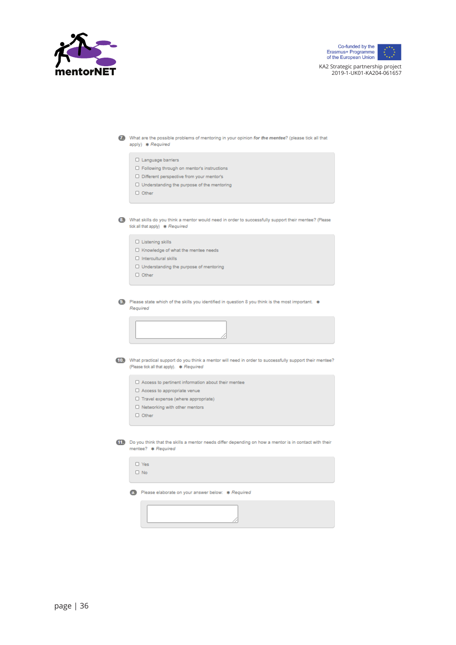



What are the possible problems of mentoring in your opinion for the mentee? (please tick all that apply) \* Required

- $\Box$  Language barriers
- $\square$  Following through on mentor's instructions
- $\Box$  Different perspective from your mentor's
- $\square$  Understanding the purpose of the mentoring

 $\Box$  Other

8 What skills do you think a mentor would need in order to successfully support their mentee? (Please tick all that apply) \* Required

- $\Box$  Listening skills
- $\square$  Knowledge of what the mentee needs
- $\square$  Intercultural skills
- $\Box$  Understanding the purpose of mentoring
- $\Box$  Other

4. Please state which of the skills you identified in question 8 you think is the most important. \* Required

What practical support do you think a mentor will need in order to successfully support their mentee? (Please tick all that apply). \* Required

 $\square$  Access to pertinent information about their mentee

- $\Box$  Access to appropriate venue
- $\Box$  Travel expense (where appropriate)
- $\Box$  Networking with other mentors

 $\Box$  Other

(1) Do you think that the skills a mentor needs differ depending on how a mentor is in contact with their mentee? \* Required

|                | $\Box$ Yes<br>$\Box$ No                           |
|----------------|---------------------------------------------------|
| $\overline{a}$ | Please elaborate on your answer below: * Required |
|                |                                                   |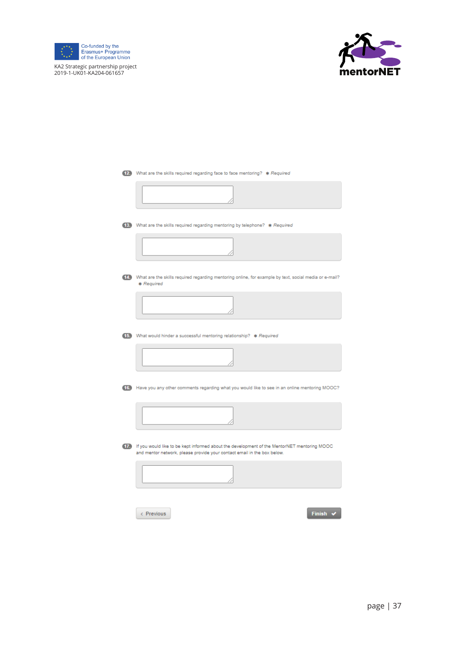



| 12. What are the skills required regarding face to face mentoring? * Required                                                                                          |
|------------------------------------------------------------------------------------------------------------------------------------------------------------------------|
|                                                                                                                                                                        |
| 13. What are the skills required regarding mentoring by telephone? * Required                                                                                          |
|                                                                                                                                                                        |
| (2) What are the skills required regarding mentoring online, for example by text, social media or e-mail?<br>* Required                                                |
|                                                                                                                                                                        |
| 45. What would hinder a successful mentoring relationship? * Required                                                                                                  |
|                                                                                                                                                                        |
| (15) Have you any other comments regarding what you would like to see in an online mentoring MOOC?                                                                     |
|                                                                                                                                                                        |
| If you would like to be kept informed about the development of the MentorNET mentoring MOOC<br>and mentor network, please provide your contact email in the box below. |
|                                                                                                                                                                        |
| < Previous<br><b>Finish</b>                                                                                                                                            |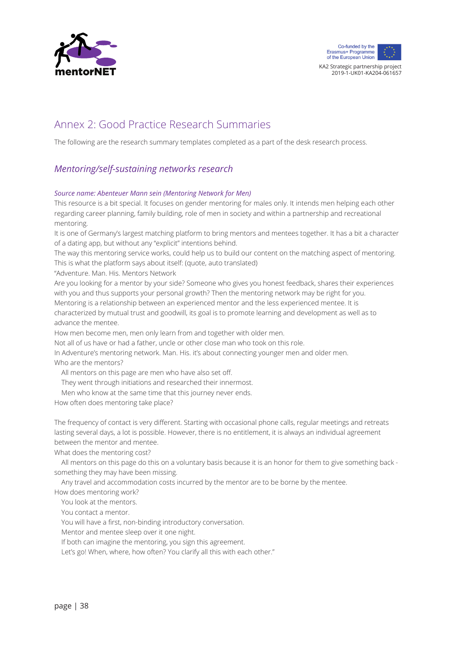



### Annex 2: Good Practice Research Summaries

The following are the research summary templates completed as a part of the desk research process.

### *Mentoring/self-sustaining networks research*

### *Source name: Abenteuer Mann sein (Mentoring Network for Men)*

This resource is a bit special. It focuses on gender mentoring for males only. It intends men helping each other regarding career planning, family building, role of men in society and within a partnership and recreational mentoring.

It is one of Germany's largest matching platform to bring mentors and mentees together. It has a bit a character of a dating app, but without any "explicit" intentions behind.

The way this mentoring service works, could help us to build our content on the matching aspect of mentoring. This is what the platform says about itself: (quote, auto translated)

"Adventure. Man. His. Mentors Network

Are you looking for a mentor by your side? Someone who gives you honest feedback, shares their experiences with you and thus supports your personal growth? Then the mentoring network may be right for you. Mentoring is a relationship between an experienced mentor and the less experienced mentee. It is characterized by mutual trust and goodwill, its goal is to promote learning and development as well as to advance the mentee.

How men become men, men only learn from and together with older men.

Not all of us have or had a father, uncle or other close man who took on this role.

In Adventure's mentoring network. Man. His. it's about connecting younger men and older men. Who are the mentors?

All mentors on this page are men who have also set off.

They went through initiations and researched their innermost.

Men who know at the same time that this journey never ends.

How often does mentoring take place?

The frequency of contact is very different. Starting with occasional phone calls, regular meetings and retreats lasting several days, a lot is possible. However, there is no entitlement, it is always an individual agreement between the mentor and mentee.

What does the mentoring cost?

 All mentors on this page do this on a voluntary basis because it is an honor for them to give something back something they may have been missing.

Any travel and accommodation costs incurred by the mentor are to be borne by the mentee.

How does mentoring work?

You look at the mentors.

You contact a mentor.

You will have a first, non-binding introductory conversation.

Mentor and mentee sleep over it one night.

If both can imagine the mentoring, you sign this agreement.

Let's go! When, where, how often? You clarify all this with each other."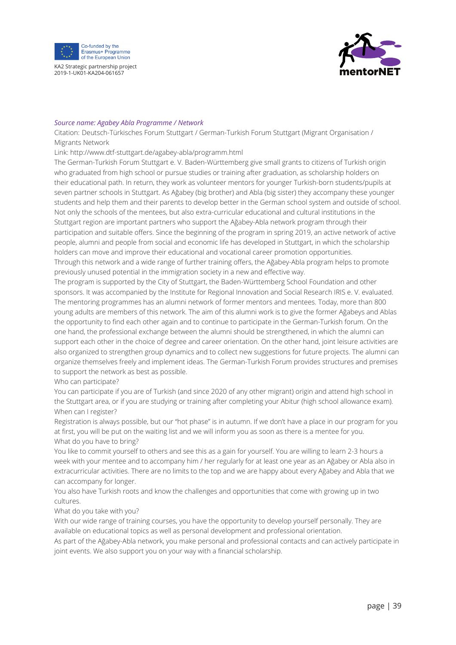

KA2 Strategic partnership project<br>2019-1-UK01-KA204-061657<br>2019-1-UK01-KA204-061657 2019-1-UK01-KA204-061657



#### *Source name: Agabey Abla Programme / Network*

Citation: Deutsch-Türkisches Forum Stuttgart / German-Turkish Forum Stuttgart (Migrant Organisation / Migrants Network

Link: http://www.dtf-stuttgart.de/agabey-abla/programm.html

The German-Turkish Forum Stuttgart e. V. Baden-Württemberg give small grants to citizens of Turkish origin who graduated from high school or pursue studies or training after graduation, as scholarship holders on their educational path. In return, they work as volunteer mentors for younger Turkish-born students/pupils at seven partner schools in Stuttgart. As Ağabey (big brother) and Abla (big sister) they accompany these younger students and help them and their parents to develop better in the German school system and outside of school. Not only the schools of the mentees, but also extra-curricular educational and cultural institutions in the Stuttgart region are important partners who support the Ağabey-Abla network program through their participation and suitable offers. Since the beginning of the program in spring 2019, an active network of active people, alumni and people from social and economic life has developed in Stuttgart, in which the scholarship holders can move and improve their educational and vocational career promotion opportunities. Through this network and a wide range of further training offers, the Ağabey-Abla program helps to promote previously unused potential in the immigration society in a new and effective way.

The program is supported by the City of Stuttgart, the Baden-Württemberg School Foundation and other sponsors. It was accompanied by the Institute for Regional Innovation and Social Research IRIS e. V. evaluated. The mentoring programmes has an alumni network of former mentors and mentees. Today, more than 800 young adults are members of this network. The aim of this alumni work is to give the former Ağabeys and Ablas the opportunity to find each other again and to continue to participate in the German-Turkish forum. On the one hand, the professional exchange between the alumni should be strengthened, in which the alumni can support each other in the choice of degree and career orientation. On the other hand, joint leisure activities are also organized to strengthen group dynamics and to collect new suggestions for future projects. The alumni can organize themselves freely and implement ideas. The German-Turkish Forum provides structures and premises to support the network as best as possible.

Who can participate?

You can participate if you are of Turkish (and since 2020 of any other migrant) origin and attend high school in the Stuttgart area, or if you are studying or training after completing your Abitur (high school allowance exam). When can I register?

Registration is always possible, but our "hot phase" is in autumn. If we don't have a place in our program for you at first, you will be put on the waiting list and we will inform you as soon as there is a mentee for you. What do you have to bring?

You like to commit yourself to others and see this as a gain for yourself. You are willing to learn 2-3 hours a week with your mentee and to accompany him / her regularly for at least one year as an Ağabey or Abla also in extracurricular activities. There are no limits to the top and we are happy about every Ağabey and Abla that we can accompany for longer.

You also have Turkish roots and know the challenges and opportunities that come with growing up in two cultures.

### What do you take with you?

With our wide range of training courses, you have the opportunity to develop yourself personally. They are available on educational topics as well as personal development and professional orientation.

As part of the Ağabey-Abla network, you make personal and professional contacts and can actively participate in joint events. We also support you on your way with a financial scholarship.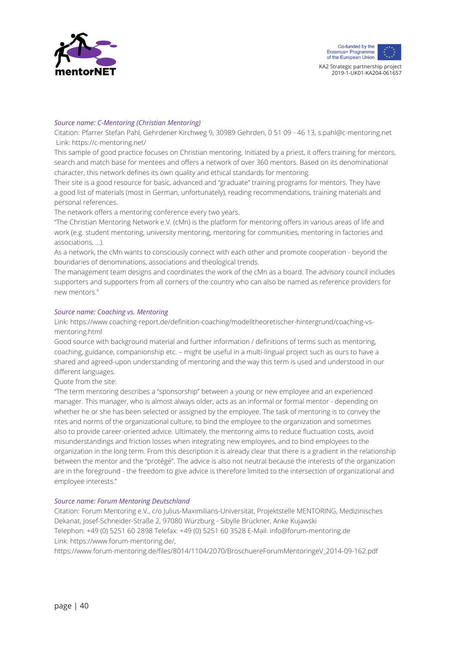



#### *Source name: C-Mentoring (Christian Mentoring)*

Citation: Pfarrer Stefan Pahl, Gehrdener Kirchweg 9, 30989 Gehrden, 0 51 09 - 46 13, s.pahl@c-mentoring.net Link: https://c-mentoring.net/

This sample of good practice focuses on Christian mentoring. Initiated by a priest, it offers training for mentors, search and match base for mentees and offers a network of over 360 mentors. Based on its denominational character, this network defines its own quality and ethical standards for mentoring.

Their site is a good resource for basic, advanced and "graduate" training programs for mentors. They have a good list of materials (most in German, unfortunately), reading recommendations, training materials and personal references.

The network offers a mentoring conference every two years.

"The Christian Mentoring Network e.V. (cMn) is the platform for mentoring offers in various areas of life and work (e.g. student mentoring, university mentoring, mentoring for communities, mentoring in factories and associations, ...).

As a network, the cMn wants to consciously connect with each other and promote cooperation - beyond the boundaries of denominations, associations and theological trends.

The management team designs and coordinates the work of the cMn as a board. The advisory council includes supporters and supporters from all corners of the country who can also be named as reference providers for new mentors."

#### *Source name: Coaching vs. Mentoring*

Link: https://www.coaching-report.de/definition-coaching/modelltheoretischer-hintergrund/coaching-vsmentoring.html

Good source with background material and further information / definitions of terms such as mentoring, coaching, guidance, companionship etc. – might be useful in a multi-lingual project such as ours to have a shared and agreed-upon understanding of mentoring and the way this term is used and understood in our different languages.

Quote from the site:

"The term mentoring describes a "sponsorship" between a young or new employee and an experienced manager. This manager, who is almost always older, acts as an informal or formal mentor - depending on whether he or she has been selected or assigned by the employee. The task of mentoring is to convey the rites and norms of the organizational culture, to bind the employee to the organization and sometimes also to provide career-oriented advice. Ultimately, the mentoring aims to reduce fluctuation costs, avoid misunderstandings and friction losses when integrating new employees, and to bind employees to the organization in the long term. From this description it is already clear that there is a gradient in the relationship between the mentor and the "protégé". The advice is also not neutral because the interests of the organization are in the foreground - the freedom to give advice is therefore limited to the intersection of organizational and employee interests."

#### *Source name: Forum Mentoring Deutschland*

Citation: Forum Mentoring e.V., c/o Julius-Maximilians-Universität, Projektstelle MENTORING, Medizinisches Dekanat, Josef-Schneider-Straße 2, 97080 Würzburg - Sibylle Brückner, Anke Kujawski Telephon: +49 (0) 5251 60 2898 Telefax: +49 (0) 5251 60 3528 E-Mail: info@forum-mentoring.de Link: https://www.forum-mentoring.de/,

https://www.forum-mentoring.de/files/8014/1104/2070/BroschuereForumMentoringeV\_2014-09-162.pdf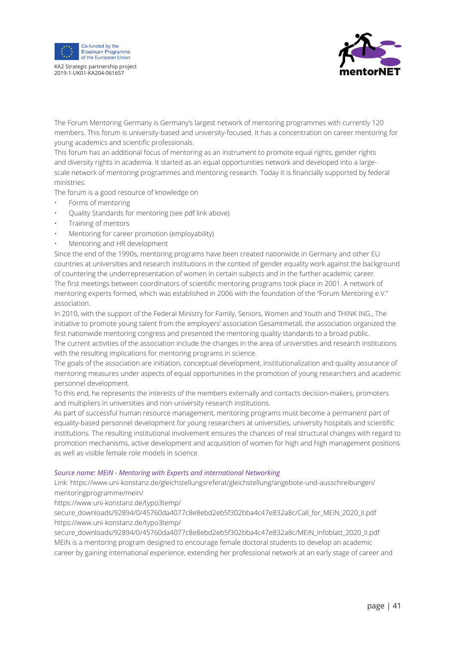

KA2 Strategic partnership project<br>2019-1-UK01-KA204-061657<br>2019-1-UK01-KA204-061657 2019-1-UK01-KA204-061657



The Forum Mentoring Germany is Germany's largest network of mentoring programmes with currently 120 members. This forum is university-based and university-focused. It has a concentration on career mentoring for young academics and scientific professionals.

This forum has an additional focus of mentoring as an instrument to promote equal rights, gender rights and diversity rights in academia. It started as an equal opportunities network and developed into a largescale network of mentoring programmes and mentoring research. Today it is financially supported by federal ministries.

The forum is a good resource of knowledge on

- Forms of mentoring
- Quality Standards for mentoring (see pdf link above)
- Training of mentors
- Mentoring for career promotion (employability)
- Mentoring and HR development

Since the end of the 1990s, mentoring programs have been created nationwide in Germany and other EU countries at universities and research institutions in the context of gender equality work against the background of countering the underrepresentation of women in certain subjects and in the further academic career. The first meetings between coordinators of scientific mentoring programs took place in 2001. A network of mentoring experts formed, which was established in 2006 with the foundation of the "Forum Mentoring e.V." association.

In 2010, with the support of the Federal Ministry for Family, Seniors, Women and Youth and THINK ING., The initiative to promote young talent from the employers' association Gesamtmetall, the association organized the first nationwide mentoring congress and presented the mentoring quality standards to a broad public.

The current activities of the association include the changes in the area of universities and research institutions with the resulting implications for mentoring programs in science.

The goals of the association are initiation, conceptual development, institutionalization and quality assurance of mentoring measures under aspects of equal opportunities in the promotion of young researchers and academic personnel development.

To this end, he represents the interests of the members externally and contacts decision-makers, promoters and multipliers in universities and non-university research institutions.

As part of successful human resource management, mentoring programs must become a permanent part of equality-based personnel development for young researchers at universities, university hospitals and scientific institutions. The resulting institutional involvement ensures the chances of real structural changes with regard to promotion mechanisms, active development and acquisition of women for high and high management positions as well as visible female role models in science.

#### *Source name: MEiN - Mentoring with Experts and international Networking*

Link: https://www.uni-konstanz.de/gleichstellungsreferat/gleichstellung/angebote-und-ausschreibungen/ mentoringprogramme/mein/

https://www.uni-konstanz.de/typo3temp/

secure\_downloads/92894/0/45760da4077c8e8ebd2eb5f302bba4c47e832a8c/Call\_for\_MEiN\_2020\_II.pdf https://www.uni-konstanz.de/typo3temp/

secure\_downloads/92894/0/45760da4077c8e8ebd2eb5f302bba4c47e832a8c/MEiN\_Infoblatt\_2020\_II.pdf MEiN is a mentoring program designed to encourage female doctoral students to develop an academic career by gaining international experience, extending her professional network at an early stage of career and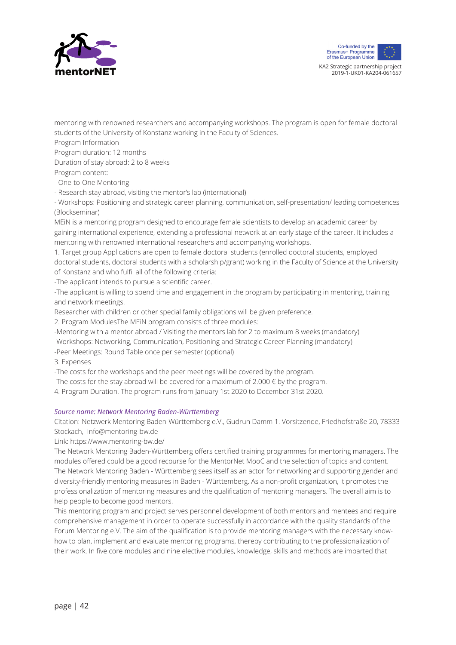



mentoring with renowned researchers and accompanying workshops. The program is open for female doctoral students of the University of Konstanz working in the Faculty of Sciences.

Program Information

Program duration: 12 months

Duration of stay abroad: 2 to 8 weeks

Program content:

- One-to-One Mentoring

- Research stay abroad, visiting the mentor's lab (international)

- Workshops: Positioning and strategic career planning, communication, self-presentation/ leading competences (Blockseminar)

MEiN is a mentoring program designed to encourage female scientists to develop an academic career by gaining international experience, extending a professional network at an early stage of the career. It includes a mentoring with renowned international researchers and accompanying workshops.

1. Target group Applications are open to female doctoral students (enrolled doctoral students, employed doctoral students, doctoral students with a scholarship/grant) working in the Faculty of Science at the University of Konstanz and who fulfil all of the following criteria:

-The applicant intends to pursue a scientific career.

-The applicant is willing to spend time and engagement in the program by participating in mentoring, training and network meetings.

Researcher with children or other special family obligations will be given preference.

2. Program ModulesThe MEiN program consists of three modules:

-Mentoring with a mentor abroad / Visiting the mentors lab for 2 to maximum 8 weeks (mandatory)

-Workshops: Networking, Communication, Positioning and Strategic Career Planning (mandatory)

-Peer Meetings: Round Table once per semester (optional)

3. Expenses

-The costs for the workshops and the peer meetings will be covered by the program.

-The costs for the stay abroad will be covered for a maximum of 2.000  $\epsilon$  by the program.

4. Program Duration. The program runs from January 1st 2020 to December 31st 2020.

#### *Source name: Network Mentoring Baden-Württemberg*

Citation: Netzwerk Mentoring Baden-Württemberg e.V., Gudrun Damm 1. Vorsitzende, Friedhofstraße 20, 78333 Stockach, Info@mentoring-bw.de

Link: https://www.mentoring-bw.de/

The Network Mentoring Baden-Württemberg offers certified training programmes for mentoring managers. The modules offered could be a good recourse for the MentorNet MooC and the selection of topics and content. The Network Mentoring Baden - Württemberg sees itself as an actor for networking and supporting gender and diversity-friendly mentoring measures in Baden - Württemberg. As a non-profit organization, it promotes the professionalization of mentoring measures and the qualification of mentoring managers. The overall aim is to help people to become good mentors.

This mentoring program and project serves personnel development of both mentors and mentees and require comprehensive management in order to operate successfully in accordance with the quality standards of the Forum Mentoring e.V. The aim of the qualification is to provide mentoring managers with the necessary knowhow to plan, implement and evaluate mentoring programs, thereby contributing to the professionalization of their work. In five core modules and nine elective modules, knowledge, skills and methods are imparted that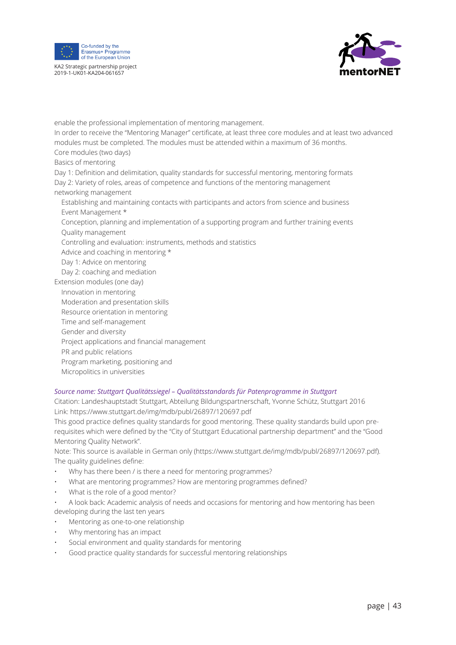



enable the professional implementation of mentoring management. In order to receive the "Mentoring Manager" certificate, at least three core modules and at least two advanced modules must be completed. The modules must be attended within a maximum of 36 months. Core modules (two days) Basics of mentoring Day 1: Definition and delimitation, quality standards for successful mentoring, mentoring formats Day 2: Variety of roles, areas of competence and functions of the mentoring management networking management Establishing and maintaining contacts with participants and actors from science and business Event Management \* Conception, planning and implementation of a supporting program and further training events Quality management Controlling and evaluation: instruments, methods and statistics Advice and coaching in mentoring \* Day 1: Advice on mentoring Day 2: coaching and mediation Extension modules (one day) Innovation in mentoring Moderation and presentation skills Resource orientation in mentoring Time and self-management Gender and diversity Project applications and financial management PR and public relations Program marketing, positioning and Micropolitics in universities

### *Source name: Stuttgart Qualitätssiegel – Qualitätsstandards für Patenprogramme in Stuttgart*

Citation: Landeshauptstadt Stuttgart, Abteilung Bildungspartnerschaft, Yvonne Schütz, Stuttgart 2016 Link: https://www.stuttgart.de/img/mdb/publ/26897/120697.pdf

This good practice defines quality standards for good mentoring. These quality standards build upon prerequisites which were defined by the "City of Stuttgart Educational partnership department" and the "Good Mentoring Quality Network".

Note: This source is available in German only (https://www.stuttgart.de/img/mdb/publ/26897/120697.pdf). The quality guidelines define:

- Why has there been / is there a need for mentoring programmes?
- What are mentoring programmes? How are mentoring programmes defined?
- What is the role of a good mentor?
- A look back: Academic analysis of needs and occasions for mentoring and how mentoring has been developing during the last ten years
- Mentoring as one-to-one relationship
- Why mentoring has an impact
- Social environment and quality standards for mentoring
- Good practice quality standards for successful mentoring relationships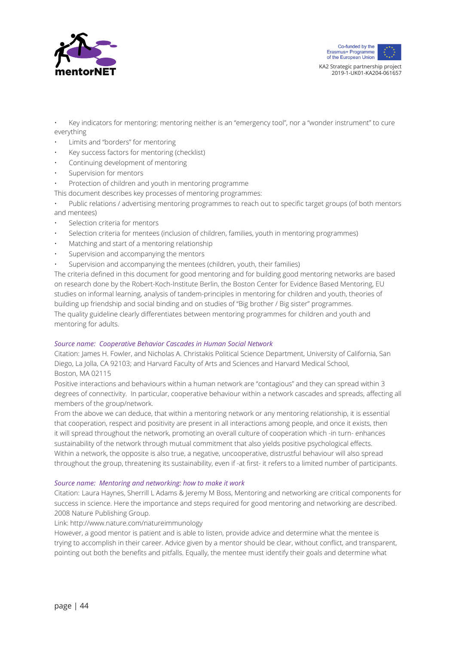



• Key indicators for mentoring: mentoring neither is an "emergency tool", nor a "wonder instrument" to cure everything

- Limits and "borders" for mentoring
- Key success factors for mentoring (checklist)
- Continuing development of mentoring
- Supervision for mentors
- Protection of children and youth in mentoring programme

This document describes key processes of mentoring programmes:

• Public relations / advertising mentoring programmes to reach out to specific target groups (of both mentors and mentees)

- Selection criteria for mentors
- Selection criteria for mentees (inclusion of children, families, youth in mentoring programmes)
- Matching and start of a mentoring relationship
- Supervision and accompanying the mentors
- Supervision and accompanying the mentees (children, youth, their families)

The criteria defined in this document for good mentoring and for building good mentoring networks are based on research done by the Robert-Koch-Institute Berlin, the Boston Center for Evidence Based Mentoring, EU studies on informal learning, analysis of tandem-principles in mentoring for children and youth, theories of building up friendship and social binding and on studies of "Big brother / Big sister" programmes. The quality guideline clearly differentiates between mentoring programmes for children and youth and mentoring for adults.

### *Source name: Cooperative Behavior Cascades in Human Social Network*

Citation: James H. Fowler, and Nicholas A. Christakis Political Science Department, University of California, San Diego, La Jolla, CA 92103; and Harvard Faculty of Arts and Sciences and Harvard Medical School, Boston, MA 02115

Positive interactions and behaviours within a human network are "contagious" and they can spread within 3 degrees of connectivity. In particular, cooperative behaviour within a network cascades and spreads, affecting all members of the group/network.

From the above we can deduce, that within a mentoring network or any mentoring relationship, it is essential that cooperation, respect and positivity are present in all interactions among people, and once it exists, then it will spread throughout the network, promoting an overall culture of cooperation which -in turn- enhances sustainability of the network through mutual commitment that also yields positive psychological effects. Within a network, the opposite is also true, a negative, uncooperative, distrustful behaviour will also spread throughout the group, threatening its sustainability, even if -at first- it refers to a limited number of participants.

#### *Source name: Mentoring and networking: how to make it work*

Citation: Laura Haynes, Sherrill L Adams & Jeremy M Boss, Mentoring and networking are critical components for success in science. Here the importance and steps required for good mentoring and networking are described. 2008 Nature Publishing Group.

Link: http://www.nature.com/natureimmunology

However, a good mentor is patient and is able to listen, provide advice and determine what the mentee is trying to accomplish in their career. Advice given by a mentor should be clear, without conflict, and transparent, pointing out both the benefits and pitfalls. Equally, the mentee must identify their goals and determine what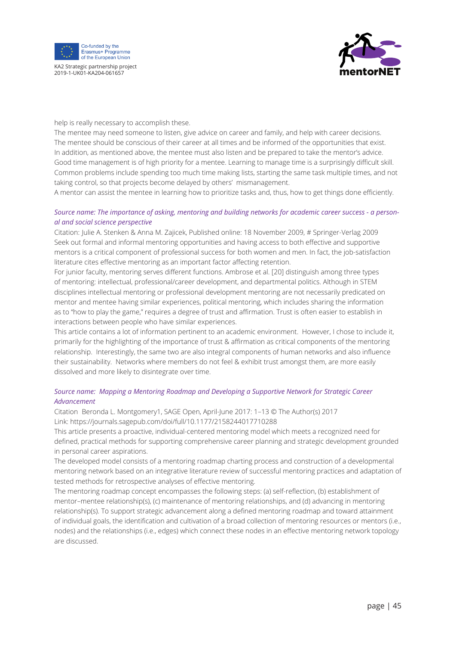

KA2 Strategic partnership project<br>2019-1-UK01-KA204-061657<br>2019-1-UK01-KA204-061657 2019-1-UK01-KA204-061657



help is really necessary to accomplish these.

The mentee may need someone to listen, give advice on career and family, and help with career decisions. The mentee should be conscious of their career at all times and be informed of the opportunities that exist. In addition, as mentioned above, the mentee must also listen and be prepared to take the mentor's advice. Good time management is of high priority for a mentee. Learning to manage time is a surprisingly difficult skill. Common problems include spending too much time making lists, starting the same task multiple times, and not taking control, so that projects become delayed by others' mismanagement.

A mentor can assist the mentee in learning how to prioritize tasks and, thus, how to get things done efficiently.

### *Source name: The importance of asking, mentoring and building networks for academic career success - a personal and social science perspective*

Citation: Julie A. Stenken & Anna M. Zajicek, Published online: 18 November 2009, # Springer-Verlag 2009 Seek out formal and informal mentoring opportunities and having access to both effective and supportive mentors is a critical component of professional success for both women and men. In fact, the job-satisfaction literature cites effective mentoring as an important factor affecting retention.

For junior faculty, mentoring serves different functions. Ambrose et al. [20] distinguish among three types of mentoring: intellectual, professional/career development, and departmental politics. Although in STEM disciplines intellectual mentoring or professional development mentoring are not necessarily predicated on mentor and mentee having similar experiences, political mentoring, which includes sharing the information as to "how to play the game," requires a degree of trust and affirmation. Trust is often easier to establish in interactions between people who have similar experiences.

This article contains a lot of information pertinent to an academic environment. However, I chose to include it, primarily for the highlighting of the importance of trust & affirmation as critical components of the mentoring relationship. Interestingly, the same two are also integral components of human networks and also influence their sustainability. Networks where members do not feel & exhibit trust amongst them, are more easily dissolved and more likely to disintegrate over time.

### *Source name: Mapping a Mentoring Roadmap and Developing a Supportive Network for Strategic Career Advancement*

Citation Beronda L. Montgomery1, SAGE Open, April-June 2017: 1–13 © The Author(s) 2017 Link: https://journals.sagepub.com/doi/full/10.1177/2158244017710288

This article presents a proactive, individual-centered mentoring model which meets a recognized need for defined, practical methods for supporting comprehensive career planning and strategic development grounded in personal career aspirations.

The developed model consists of a mentoring roadmap charting process and construction of a developmental mentoring network based on an integrative literature review of successful mentoring practices and adaptation of tested methods for retrospective analyses of effective mentoring.

The mentoring roadmap concept encompasses the following steps: (a) self-reflection, (b) establishment of mentor–mentee relationship(s), (c) maintenance of mentoring relationships, and (d) advancing in mentoring relationship(s). To support strategic advancement along a defined mentoring roadmap and toward attainment of individual goals, the identification and cultivation of a broad collection of mentoring resources or mentors (i.e., nodes) and the relationships (i.e., edges) which connect these nodes in an effective mentoring network topology are discussed.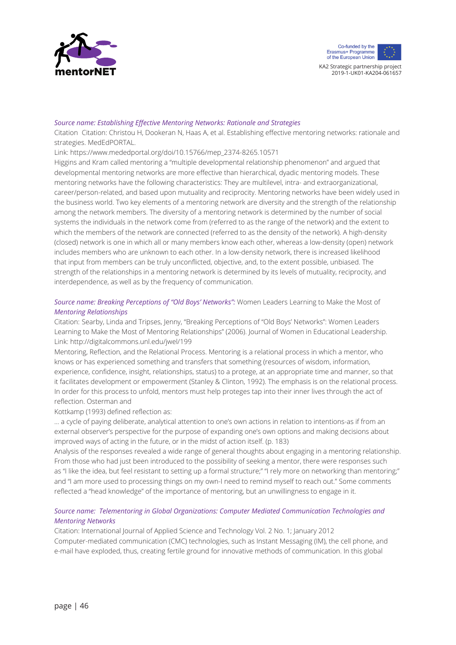



#### *Source name: Establishing Effective Mentoring Networks: Rationale and Strategies*

Citation Citation: Christou H, Dookeran N, Haas A, et al. Establishing effective mentoring networks: rationale and strategies. MedEdPORTAL.

Link: https://www.mededportal.org/doi/10.15766/mep\_2374-8265.10571

Higgins and Kram called mentoring a "multiple developmental relationship phenomenon" and argued that developmental mentoring networks are more effective than hierarchical, dyadic mentoring models. These mentoring networks have the following characteristics: They are multilevel, intra- and extraorganizational, career/person-related, and based upon mutuality and reciprocity. Mentoring networks have been widely used in the business world. Two key elements of a mentoring network are diversity and the strength of the relationship among the network members. The diversity of a mentoring network is determined by the number of social systems the individuals in the network come from (referred to as the range of the network) and the extent to which the members of the network are connected (referred to as the density of the network). A high-density (closed) network is one in which all or many members know each other, whereas a low-density (open) network includes members who are unknown to each other. In a low-density network, there is increased likelihood that input from members can be truly unconflicted, objective, and, to the extent possible, unbiased. The strength of the relationships in a mentoring network is determined by its levels of mutuality, reciprocity, and interdependence, as well as by the frequency of communication.

### *Source name: Breaking Perceptions of "Old Boys' Networks":* Women Leaders Learning to Make the Most of *Mentoring Relationships*

Citation: Searby, Linda and Tripses, Jenny, "Breaking Perceptions of "Old Boys' Networks": Women Leaders Learning to Make the Most of Mentoring Relationships" (2006). Journal of Women in Educational Leadership. Link: http://digitalcommons.unl.edu/jwel/199

Mentoring, Reflection, and the Relational Process. Mentoring is a relational process in which a mentor, who knows or has experienced something and transfers that something (resources of wisdom, information, experience, confidence, insight, relationships, status) to a protege, at an appropriate time and manner, so that it facilitates development or empowerment (Stanley & Clinton, 1992). The emphasis is on the relational process. In order for this process to unfold, mentors must help proteges tap into their inner lives through the act of reflection. Osterman and

Kottkamp (1993) defined reflection as:

... a cycle of paying deliberate, analytical attention to one's own actions in relation to intentions-as if from an external observer's perspective for the purpose of expanding one's own options and making decisions about improved ways of acting in the future, or in the midst of action itself. (p. 183)

Analysis of the responses revealed a wide range of general thoughts about engaging in a mentoring relationship. From those who had just been introduced to the possibility of seeking a mentor, there were responses such as "I like the idea, but feel resistant to setting up a formal structure;" "I rely more on networking than mentoring;" and "I am more used to processing things on my own-I need to remind myself to reach out." Some comments reflected a "head knowledge" of the importance of mentoring, but an unwillingness to engage in it.

### *Source name: Telementoring in Global Organizations: Computer Mediated Communication Technologies and Mentoring Networks*

Citation: International Journal of Applied Science and Technology Vol. 2 No. 1; January 2012 Computer-mediated communication (CMC) technologies, such as Instant Messaging (IM), the cell phone, and e-mail have exploded, thus, creating fertile ground for innovative methods of communication. In this global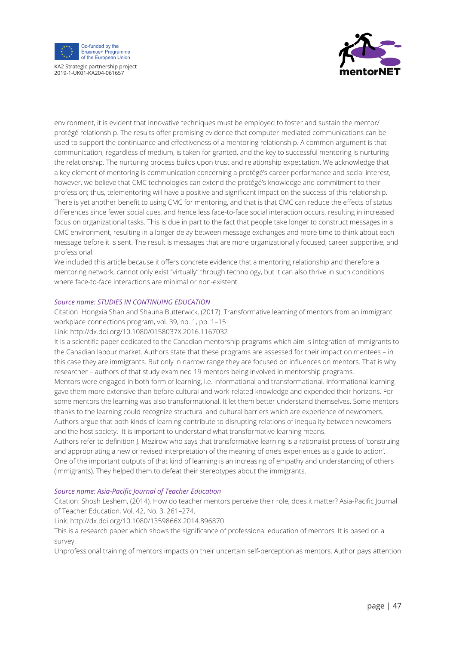

KA2 Strategic partnership project<br>2019-1-UK01-KA204-061657<br>2019-1-UK01-KA204-061657 2019-1-UK01-KA204-061657



environment, it is evident that innovative techniques must be employed to foster and sustain the mentor/ protégé relationship. The results offer promising evidence that computer-mediated communications can be used to support the continuance and effectiveness of a mentoring relationship. A common argument is that communication, regardless of medium, is taken for granted, and the key to successful mentoring is nurturing the relationship. The nurturing process builds upon trust and relationship expectation. We acknowledge that a key element of mentoring is communication concerning a protégé's career performance and social interest, however, we believe that CMC technologies can extend the protégé's knowledge and commitment to their profession; thus, telementoring will have a positive and significant impact on the success of this relationship. There is yet another benefit to using CMC for mentoring, and that is that CMC can reduce the effects of status differences since fewer social cues, and hence less face-to-face social interaction occurs, resulting in increased focus on organizational tasks. This is due in part to the fact that people take longer to construct messages in a CMC environment, resulting in a longer delay between message exchanges and more time to think about each message before it is sent. The result is messages that are more organizationally focused, career supportive, and professional.

We included this article because it offers concrete evidence that a mentoring relationship and therefore a mentoring network, cannot only exist "virtually" through technology, but it can also thrive in such conditions where face-to-face interactions are minimal or non-existent.

### *Source name: STUDIES IN CONTINUING EDUCATION*

Citation Hongxia Shan and Shauna Butterwick, (2017). Transformative learning of mentors from an immigrant workplace connections program, vol. 39, no. 1, pp. 1–15

#### Link: http://dx.doi.org/10.1080/0158037X.2016.1167032

It is a scientific paper dedicated to the Canadian mentorship programs which aim is integration of immigrants to the Canadian labour market. Authors state that these programs are assessed for their impact on mentees – in this case they are immigrants. But only in narrow range they are focused on influences on mentors. That is why researcher – authors of that study examined 19 mentors being involved in mentorship programs.

Mentors were engaged in both form of learning, i.e. informational and transformational. Informational learning gave them more extensive than before cultural and work-related knowledge and expended their horizons. For some mentors the learning was also transformational. It let them better understand themselves. Some mentors thanks to the learning could recognize structural and cultural barriers which are experience of newcomers. Authors argue that both kinds of learning contribute to disrupting relations of inequality between newcomers and the host society. It is important to understand what transformative learning means.

Authors refer to definition J. Mezirow who says that transformative learning is a rationalist process of 'construing and appropriating a new or revised interpretation of the meaning of one's experiences as a guide to action'. One of the important outputs of that kind of learning is an increasing of empathy and understanding of others (immigrants). They helped them to defeat their stereotypes about the immigrants.

#### *Source name: Asia-Pacific Journal of Teacher Education*

Citation: Shosh Leshem, (2014). How do teacher mentors perceive their role, does it matter? Asia-Pacific Journal of Teacher Education, Vol. 42, No. 3, 261–274.

Link: http://dx.doi.org/10.1080/1359866X.2014.896870

This is a research paper which shows the significance of professional education of mentors. It is based on a survey.

Unprofessional training of mentors impacts on their uncertain self-perception as mentors. Author pays attention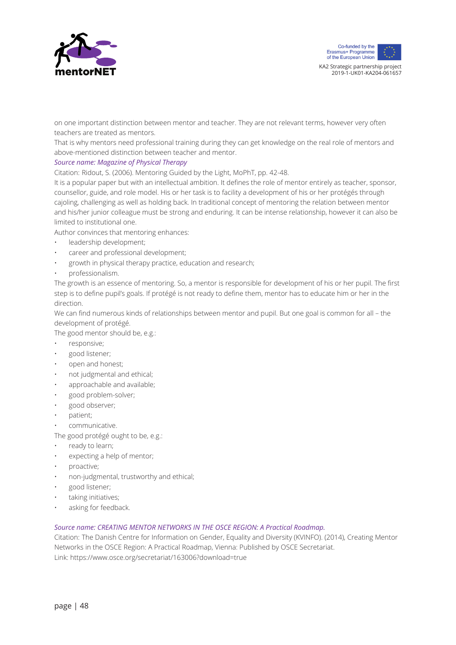



on one important distinction between mentor and teacher. They are not relevant terms, however very often teachers are treated as mentors.

That is why mentors need professional training during they can get knowledge on the real role of mentors and above-mentioned distinction between teacher and mentor.

### *Source name: Magazine of Physical Therapy*

Citation: Ridout, S. (2006). Mentoring Guided by the Light, MoPhT, pp. 42-48.

It is a popular paper but with an intellectual ambition. It defines the role of mentor entirely as teacher, sponsor, counsellor, guide, and role model. His or her task is to facility a development of his or her protégés through cajoling, challenging as well as holding back. In traditional concept of mentoring the relation between mentor and his/her junior colleague must be strong and enduring. It can be intense relationship, however it can also be limited to institutional one.

Author convinces that mentoring enhances:

- leadership development;
- career and professional development;
- growth in physical therapy practice, education and research;
- professionalism.

The growth is an essence of mentoring. So, a mentor is responsible for development of his or her pupil. The first step is to define pupil's goals. If protégé is not ready to define them, mentor has to educate him or her in the direction.

We can find numerous kinds of relationships between mentor and pupil. But one goal is common for all – the development of protégé.

The good mentor should be, e.g.:

- responsive;
- good listener;
- open and honest;
- not judgmental and ethical;
- approachable and available;
- good problem-solver;
- good observer;
- patient;
- communicative.

The good protégé ought to be, e.g.:

- ready to learn;
- expecting a help of mentor;
- proactive;
- non-judgmental, trustworthy and ethical;
- good listener;
- taking initiatives;
- asking for feedback.

#### *Source name: CREATING MENTOR NETWORKS IN THE OSCE REGION: A Practical Roadmap.*

Citation: The Danish Centre for Information on Gender, Equality and Diversity (KVINFO). (2014), Creating Mentor Networks in the OSCE Region: A Practical Roadmap, Vienna: Published by OSCE Secretariat. Link: https://www.osce.org/secretariat/163006?download=true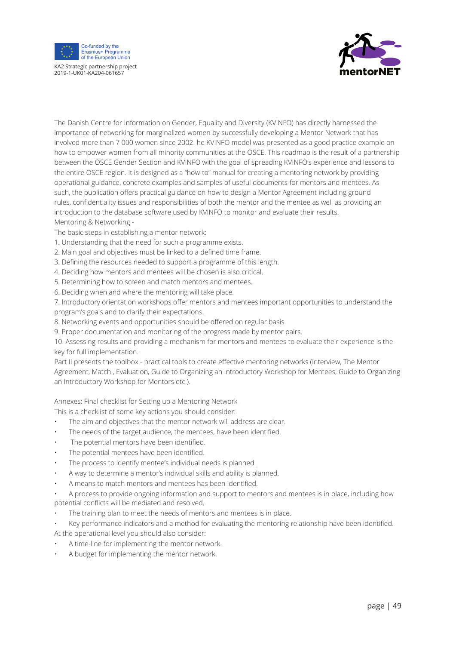



The Danish Centre for Information on Gender, Equality and Diversity (KVINFO) has directly harnessed the importance of networking for marginalized women by successfully developing a Mentor Network that has involved more than 7 000 women since 2002. he KVINFO model was presented as a good practice example on how to empower women from all minority communities at the OSCE. This roadmap is the result of a partnership between the OSCE Gender Section and KVINFO with the goal of spreading KVINFO's experience and lessons to the entire OSCE region. It is designed as a "how-to" manual for creating a mentoring network by providing operational guidance, concrete examples and samples of useful documents for mentors and mentees. As such, the publication offers practical guidance on how to design a Mentor Agreement including ground rules, confidentiality issues and responsibilities of both the mentor and the mentee as well as providing an introduction to the database software used by KVINFO to monitor and evaluate their results. Mentoring & Networking -

The basic steps in establishing a mentor network:

- 1. Understanding that the need for such a programme exists.
- 2. Main goal and objectives must be linked to a defined time frame.
- 3. Defining the resources needed to support a programme of this length.
- 4. Deciding how mentors and mentees will be chosen is also critical.
- 5. Determining how to screen and match mentors and mentees.
- 6. Deciding when and where the mentoring will take place.

7. Introductory orientation workshops offer mentors and mentees important opportunities to understand the program's goals and to clarify their expectations.

8. Networking events and opportunities should be offered on regular basis.

9. Proper documentation and monitoring of the progress made by mentor pairs.

10. Assessing results and providing a mechanism for mentors and mentees to evaluate their experience is the key for full implementation.

Part II presents the toolbox - practical tools to create effective mentoring networks (Interview, The Mentor Agreement, Match , Evaluation, Guide to Organizing an Introductory Workshop for Mentees, Guide to Organizing an Introductory Workshop for Mentors etc.).

Annexes: Final checklist for Setting up a Mentoring Network

This is a checklist of some key actions you should consider:

- The aim and objectives that the mentor network will address are clear.
- The needs of the target audience, the mentees, have been identified.
- The potential mentors have been identified.
- The potential mentees have been identified.
- The process to identify mentee's individual needs is planned.
- A way to determine a mentor's individual skills and ability is planned.
- A means to match mentors and mentees has been identified.

• A process to provide ongoing information and support to mentors and mentees is in place, including how potential conflicts will be mediated and resolved.

The training plan to meet the needs of mentors and mentees is in place.

• Key performance indicators and a method for evaluating the mentoring relationship have been identified. At the operational level you should also consider:

- A time-line for implementing the mentor network.
- A budget for implementing the mentor network.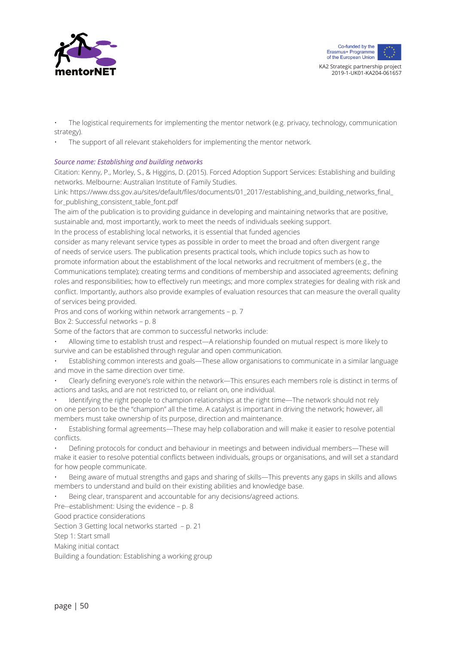



The logistical requirements for implementing the mentor network (e.g. privacy, technology, communication strategy).

The support of all relevant stakeholders for implementing the mentor network.

### *Source name: Establishing and building networks*

Citation: Kenny, P., Morley, S., & Higgins, D. (2015). Forced Adoption Support Services: Establishing and building networks. Melbourne: Australian Institute of Family Studies.

Link: https://www.dss.gov.au/sites/default/files/documents/01\_2017/establishing\_and\_building\_networks\_final\_ for publishing consistent table font.pdf

The aim of the publication is to providing guidance in developing and maintaining networks that are positive, sustainable and, most importantly, work to meet the needs of individuals seeking support.

In the process of establishing local networks, it is essential that funded agencies

consider as many relevant service types as possible in order to meet the broad and often divergent range of needs of service users. The publication presents practical tools, which include topics such as how to promote information about the establishment of the local networks and recruitment of members (e.g., the Communications template); creating terms and conditions of membership and associated agreements; defining roles and responsibilities; how to effectively run meetings; and more complex strategies for dealing with risk and conflict. Importantly, authors also provide examples of evaluation resources that can measure the overall quality of services being provided.

Pros and cons of working within network arrangements – p. 7

Box 2: Successful networks – p. 8

Some of the factors that are common to successful networks include:

• Allowing time to establish trust and respect—A relationship founded on mutual respect is more likely to survive and can be established through regular and open communication.

• Establishing common interests and goals—These allow organisations to communicate in a similar language and move in the same direction over time.

• Clearly defining everyone's role within the network—This ensures each members role is distinct in terms of actions and tasks, and are not restricted to, or reliant on, one individual.

• Identifying the right people to champion relationships at the right time—The network should not rely on one person to be the "champion" all the time. A catalyst is important in driving the network; however, all members must take ownership of its purpose, direction and maintenance.

• Establishing formal agreements—These may help collaboration and will make it easier to resolve potential conflicts.

• Defining protocols for conduct and behaviour in meetings and between individual members—These will make it easier to resolve potential conflicts between individuals, groups or organisations, and will set a standard for how people communicate.

• Being aware of mutual strengths and gaps and sharing of skills—This prevents any gaps in skills and allows members to understand and build on their existing abilities and knowledge base.

Being clear, transparent and accountable for any decisions/agreed actions.

Pre--establishment: Using the evidence – p. 8

Good practice considerations

Section 3 Getting local networks started – p. 21 Step 1: Start small Making initial contact Building a foundation: Establishing a working group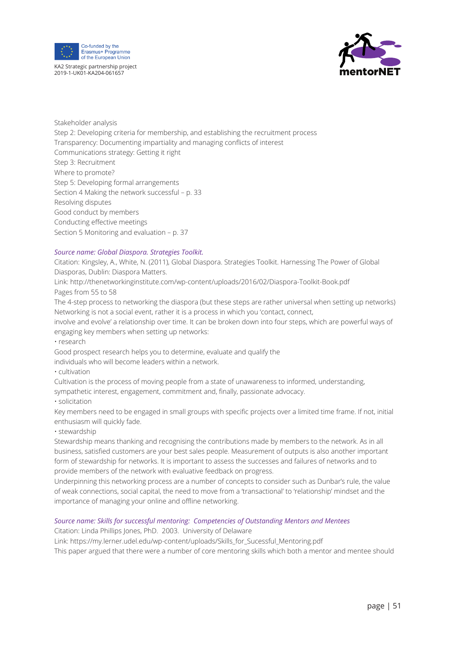



Stakeholder analysis Step 2: Developing criteria for membership, and establishing the recruitment process Transparency: Documenting impartiality and managing conflicts of interest Communications strategy: Getting it right Step 3: Recruitment Where to promote? Step 5: Developing formal arrangements Section 4 Making the network successful – p. 33 Resolving disputes Good conduct by members Conducting effective meetings Section 5 Monitoring and evaluation – p. 37

### *Source name: Global Diaspora. Strategies Toolkit.*

Citation: Kingsley, A., White, N. (2011), Global Diaspora. Strategies Toolkit. Harnessing The Power of Global Diasporas, Dublin: Diaspora Matters.

Link: http://thenetworkinginstitute.com/wp-content/uploads/2016/02/Diaspora-Toolkit-Book.pdf Pages from 55 to 58

The 4-step process to networking the diaspora (but these steps are rather universal when setting up networks) Networking is not a social event, rather it is a process in which you 'contact, connect,

involve and evolve' a relationship over time. It can be broken down into four steps, which are powerful ways of engaging key members when setting up networks:

• research

Good prospect research helps you to determine, evaluate and qualify the

individuals who will become leaders within a network.

• cultivation

Cultivation is the process of moving people from a state of unawareness to informed, understanding, sympathetic interest, engagement, commitment and, finally, passionate advocacy.

• solicitation

Key members need to be engaged in small groups with specific projects over a limited time frame. If not, initial enthusiasm will quickly fade.

#### • stewardship

Stewardship means thanking and recognising the contributions made by members to the network. As in all business, satisfied customers are your best sales people. Measurement of outputs is also another important form of stewardship for networks. It is important to assess the successes and failures of networks and to provide members of the network with evaluative feedback on progress.

Underpinning this networking process are a number of concepts to consider such as Dunbar's rule, the value of weak connections, social capital, the need to move from a 'transactional' to 'relationship' mindset and the importance of managing your online and offline networking.

#### *Source name: Skills for successful mentoring: Competencies of Outstanding Mentors and Mentees*

Citation: Linda Phillips Jones, PhD. 2003. University of Delaware

Link: https://my.lerner.udel.edu/wp-content/uploads/Skills\_for\_Sucessful\_Mentoring.pdf

This paper argued that there were a number of core mentoring skills which both a mentor and mentee should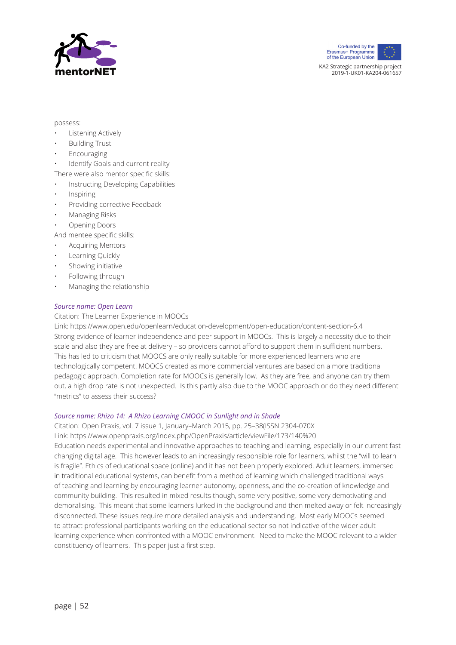

#### possess:

- Listening Actively
- Building Trust
- **Encouraging**
- Identify Goals and current reality
- There were also mentor specific skills:
- Instructing Developing Capabilities
- **Inspiring**
- Providing corrective Feedback
- Managing Risks
- Opening Doors

And mentee specific skills:

- Acquiring Mentors
- Learning Quickly
- Showing initiative
- Following through
- Managing the relationship

### *Source name: Open Learn*

#### Citation: The Learner Experience in MOOCs

Link: https://www.open.edu/openlearn/education-development/open-education/content-section-6.4 Strong evidence of learner independence and peer support in MOOCs. This is largely a necessity due to their scale and also they are free at delivery – so providers cannot afford to support them in sufficient numbers. This has led to criticism that MOOCS are only really suitable for more experienced learners who are technologically competent. MOOCS created as more commercial ventures are based on a more traditional pedagogic approach. Completion rate for MOOCs is generally low. As they are free, and anyone can try them out, a high drop rate is not unexpected. Is this partly also due to the MOOC approach or do they need different "metrics" to assess their success?

#### *Source name: Rhizo 14: A Rhizo Learning CMOOC in Sunlight and in Shade*

Citation: Open Praxis, vol. 7 issue 1, January–March 2015, pp. 25–38(ISSN 2304-070X Link: https://www.openpraxis.org/index.php/OpenPraxis/article/viewFile/173/140%20 Education needs experimental and innovative approaches to teaching and learning, especially in our current fast changing digital age. This however leads to an increasingly responsible role for learners, whilst the "will to learn is fragile". Ethics of educational space (online) and it has not been properly explored. Adult learners, immersed in traditional educational systems, can benefit from a method of learning which challenged traditional ways of teaching and learning by encouraging learner autonomy, openness, and the co-creation of knowledge and community building. This resulted in mixed results though, some very positive, some very demotivating and demoralising. This meant that some learners lurked in the background and then melted away or felt increasingly disconnected. These issues require more detailed analysis and understanding. Most early MOOCs seemed to attract professional participants working on the educational sector so not indicative of the wider adult learning experience when confronted with a MOOC environment. Need to make the MOOC relevant to a wider constituency of learners. This paper just a first step.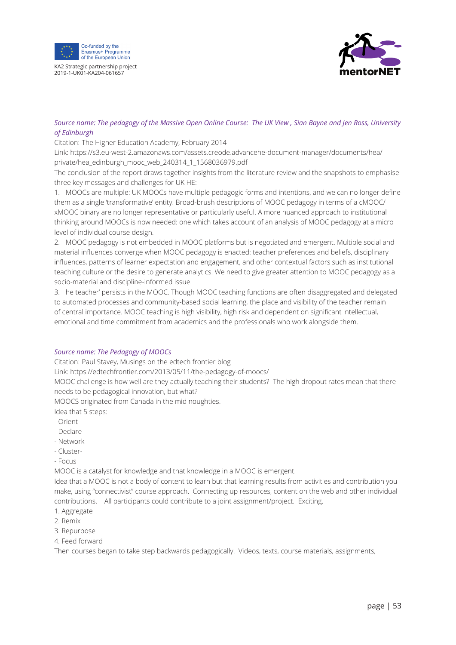



### *Source name: The pedagogy of the Massive Open Online Course: The UK View , Sian Bayne and Jen Ross, University of Edinburgh*

Citation: The Higher Education Academy, February 2014

Link: https://s3.eu-west-2.amazonaws.com/assets.creode.advancehe-document-manager/documents/hea/ private/hea\_edinburgh\_mooc\_web\_240314\_1\_1568036979.pdf

The conclusion of the report draws together insights from the literature review and the snapshots to emphasise three key messages and challenges for UK HE:

1. MOOCs are multiple: UK MOOCs have multiple pedagogic forms and intentions, and we can no longer define them as a single 'transformative' entity. Broad-brush descriptions of MOOC pedagogy in terms of a cMOOC/ xMOOC binary are no longer representative or particularly useful. A more nuanced approach to institutional thinking around MOOCs is now needed: one which takes account of an analysis of MOOC pedagogy at a micro level of individual course design.

2. MOOC pedagogy is not embedded in MOOC platforms but is negotiated and emergent. Multiple social and material influences converge when MOOC pedagogy is enacted: teacher preferences and beliefs, disciplinary influences, patterns of learner expectation and engagement, and other contextual factors such as institutional teaching culture or the desire to generate analytics. We need to give greater attention to MOOC pedagogy as a socio-material and discipline-informed issue.

3. he teacher' persists in the MOOC. Though MOOC teaching functions are often disaggregated and delegated to automated processes and community-based social learning, the place and visibility of the teacher remain of central importance. MOOC teaching is high visibility, high risk and dependent on significant intellectual, emotional and time commitment from academics and the professionals who work alongside them.

### *Source name: The Pedagogy of MOOCs*

Citation: Paul Stavey, Musings on the edtech frontier blog

Link: https://edtechfrontier.com/2013/05/11/the-pedagogy-of-moocs/

MOOC challenge is how well are they actually teaching their students? The high dropout rates mean that there needs to be pedagogical innovation, but what?

MOOCS originated from Canada in the mid noughties.

Idea that 5 steps:

- Orient
- Declare
- Network
- Cluster-
- Focus

MOOC is a catalyst for knowledge and that knowledge in a MOOC is emergent.

Idea that a MOOC is not a body of content to learn but that learning results from activities and contribution you make, using "connectivist" course approach. Connecting up resources, content on the web and other individual contributions. All participants could contribute to a joint assignment/project. Exciting.

- 1. Aggregate
- 2. Remix
- 3. Repurpose
- 4. Feed forward

Then courses began to take step backwards pedagogically. Videos, texts, course materials, assignments,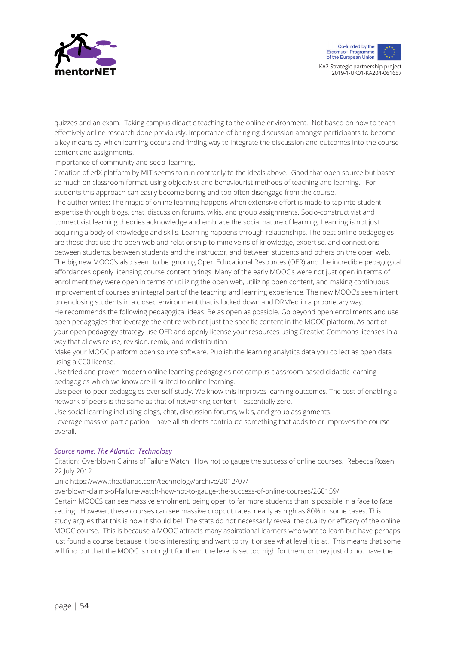



**mentorNET** KA2 Strategic partnership project **mentorNET** 

quizzes and an exam. Taking campus didactic teaching to the online environment. Not based on how to teach effectively online research done previously. Importance of bringing discussion amongst participants to become a key means by which learning occurs and finding way to integrate the discussion and outcomes into the course content and assignments.

Importance of community and social learning.

Creation of edX platform by MIT seems to run contrarily to the ideals above. Good that open source but based so much on classroom format, using objectivist and behaviourist methods of teaching and learning. For students this approach can easily become boring and too often disengage from the course.

The author writes: The magic of online learning happens when extensive effort is made to tap into student expertise through blogs, chat, discussion forums, wikis, and group assignments. Socio-constructivist and connectivist learning theories acknowledge and embrace the social nature of learning. Learning is not just acquiring a body of knowledge and skills. Learning happens through relationships. The best online pedagogies are those that use the open web and relationship to mine veins of knowledge, expertise, and connections between students, between students and the instructor, and between students and others on the open web. The big new MOOC's also seem to be ignoring Open Educational Resources (OER) and the incredible pedagogical affordances openly licensing course content brings. Many of the early MOOC's were not just open in terms of enrollment they were open in terms of utilizing the open web, utilizing open content, and making continuous improvement of courses an integral part of the teaching and learning experience. The new MOOC's seem intent on enclosing students in a closed environment that is locked down and DRM'ed in a proprietary way. He recommends the following pedagogical ideas: Be as open as possible. Go beyond open enrollments and use

open pedagogies that leverage the entire web not just the specific content in the MOOC platform. As part of your open pedagogy strategy use OER and openly license your resources using Creative Commons licenses in a way that allows reuse, revision, remix, and redistribution.

Make your MOOC platform open source software. Publish the learning analytics data you collect as open data using a CC0 license.

Use tried and proven modern online learning pedagogies not campus classroom-based didactic learning pedagogies which we know are ill-suited to online learning.

Use peer-to-peer pedagogies over self-study. We know this improves learning outcomes. The cost of enabling a network of peers is the same as that of networking content – essentially zero.

Use social learning including blogs, chat, discussion forums, wikis, and group assignments.

Leverage massive participation – have all students contribute something that adds to or improves the course overall.

### *Source name: The Atlantic: Technology*

Citation: Overblown Claims of Failure Watch: How not to gauge the success of online courses. Rebecca Rosen. 22 July 2012

Link: https://www.theatlantic.com/technology/archive/2012/07/

overblown-claims-of-failure-watch-how-not-to-gauge-the-success-of-online-courses/260159/

Certain MOOCS can see massive enrolment, being open to far more students than is possible in a face to face setting. However, these courses can see massive dropout rates, nearly as high as 80% in some cases. This study argues that this is how it should be! The stats do not necessarily reveal the quality or efficacy of the online MOOC course. This is because a MOOC attracts many aspirational learners who want to learn but have perhaps just found a course because it looks interesting and want to try it or see what level it is at. This means that some will find out that the MOOC is not right for them, the level is set too high for them, or they just do not have the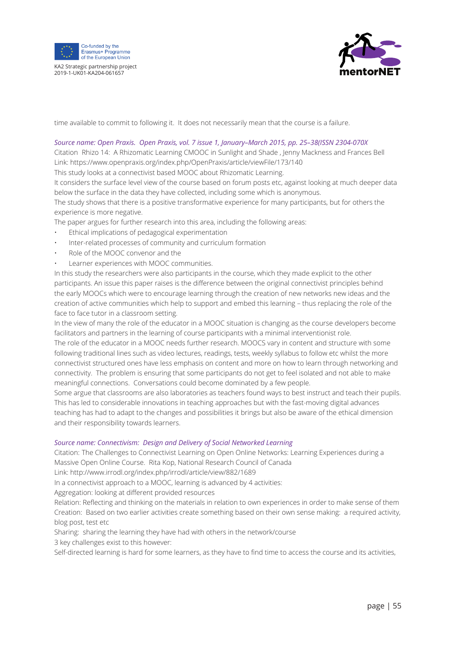



time available to commit to following it. It does not necessarily mean that the course is a failure.

### *Source name: Open Praxis. Open Praxis, vol. 7 issue 1, January–March 2015, pp. 25–38(ISSN 2304-070X*

Citation Rhizo 14: A Rhizomatic Learning CMOOC in Sunlight and Shade , Jenny Mackness and Frances Bell Link: https://www.openpraxis.org/index.php/OpenPraxis/article/viewFile/173/140

This study looks at a connectivist based MOOC about Rhizomatic Learning.

It considers the surface level view of the course based on forum posts etc, against looking at much deeper data below the surface in the data they have collected, including some which is anonymous.

The study shows that there is a positive transformative experience for many participants, but for others the experience is more negative.

The paper argues for further research into this area, including the following areas:

- Ethical implications of pedagogical experimentation
- Inter-related processes of community and curriculum formation
- Role of the MOOC convenor and the
- Learner experiences with MOOC communities.

In this study the researchers were also participants in the course, which they made explicit to the other participants. An issue this paper raises is the difference between the original connectivist principles behind the early MOOCs which were to encourage learning through the creation of new networks new ideas and the creation of active communities which help to support and embed this learning – thus replacing the role of the face to face tutor in a classroom setting.

In the view of many the role of the educator in a MOOC situation is changing as the course developers become facilitators and partners in the learning of course participants with a minimal interventionist role.

The role of the educator in a MOOC needs further research. MOOCS vary in content and structure with some following traditional lines such as video lectures, readings, tests, weekly syllabus to follow etc whilst the more connectivist structured ones have less emphasis on content and more on how to learn through networking and connectivity. The problem is ensuring that some participants do not get to feel isolated and not able to make meaningful connections. Conversations could become dominated by a few people.

Some argue that classrooms are also laboratories as teachers found ways to best instruct and teach their pupils. This has led to considerable innovations in teaching approaches but with the fast-moving digital advances teaching has had to adapt to the changes and possibilities it brings but also be aware of the ethical dimension and their responsibility towards learners.

#### *Source name: Connectivism: Design and Delivery of Social Networked Learning*

Citation: The Challenges to Connectivist Learning on Open Online Networks: Learning Experiences during a Massive Open Online Course. Rita Kop, National Research Council of Canada

Link: http://www.irrodl.org/index.php/irrodl/article/view/882/1689

In a connectivist approach to a MOOC, learning is advanced by 4 activities:

Aggregation: looking at different provided resources

Relation: Reflecting and thinking on the materials in relation to own experiences in order to make sense of them Creation: Based on two earlier activities create something based on their own sense making: a required activity, blog post, test etc

Sharing: sharing the learning they have had with others in the network/course

3 key challenges exist to this however:

Self-directed learning is hard for some learners, as they have to find time to access the course and its activities,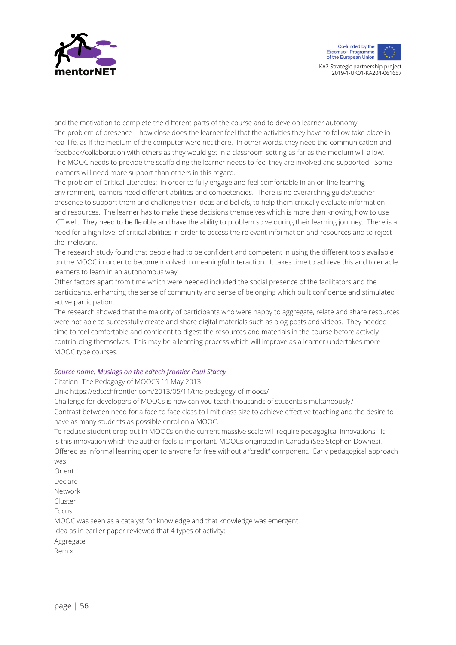



**mentorNET** KA2 Strategic partnership project **mentorNET** 

and the motivation to complete the different parts of the course and to develop learner autonomy. The problem of presence – how close does the learner feel that the activities they have to follow take place in real life, as if the medium of the computer were not there. In other words, they need the communication and feedback/collaboration with others as they would get in a classroom setting as far as the medium will allow. The MOOC needs to provide the scaffolding the learner needs to feel they are involved and supported. Some learners will need more support than others in this regard.

The problem of Critical Literacies: in order to fully engage and feel comfortable in an on-line learning environment, learners need different abilities and competencies. There is no overarching guide/teacher presence to support them and challenge their ideas and beliefs, to help them critically evaluate information and resources. The learner has to make these decisions themselves which is more than knowing how to use ICT well. They need to be flexible and have the ability to problem solve during their learning journey. There is a need for a high level of critical abilities in order to access the relevant information and resources and to reject the irrelevant.

The research study found that people had to be confident and competent in using the different tools available on the MOOC in order to become involved in meaningful interaction. It takes time to achieve this and to enable learners to learn in an autonomous way.

Other factors apart from time which were needed included the social presence of the facilitators and the participants, enhancing the sense of community and sense of belonging which built confidence and stimulated active participation.

The research showed that the majority of participants who were happy to aggregate, relate and share resources were not able to successfully create and share digital materials such as blog posts and videos. They needed time to feel comfortable and confident to digest the resources and materials in the course before actively contributing themselves. This may be a learning process which will improve as a learner undertakes more MOOC type courses.

#### *Source name: Musings on the edtech frontier Paul Stacey*

Citation The Pedagogy of MOOCS 11 May 2013

Link: https://edtechfrontier.com/2013/05/11/the-pedagogy-of-moocs/

Challenge for developers of MOOCs is how can you teach thousands of students simultaneously? Contrast between need for a face to face class to limit class size to achieve effective teaching and the desire to have as many students as possible enrol on a MOOC.

To reduce student drop out in MOOCs on the current massive scale will require pedagogical innovations. It is this innovation which the author feels is important. MOOCs originated in Canada (See Stephen Downes). Offered as informal learning open to anyone for free without a "credit" component. Early pedagogical approach was:

Orient Declare Network Cluster Focus MOOC was seen as a catalyst for knowledge and that knowledge was emergent. Idea as in earlier paper reviewed that 4 types of activity: Aggregate Remix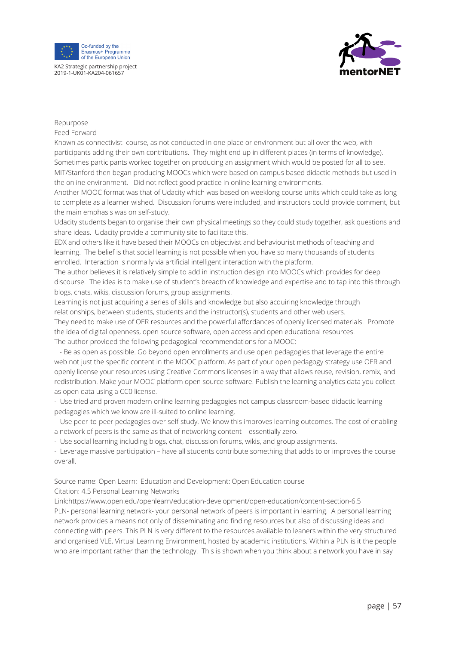

KA2 Strategic partnership project<br>2019-1-UK01-KA204-061657<br>2019-1-UK01-KA204-061657 2019-1-UK01-KA204-061657



### Repurpose Feed Forward

Known as connectivist course, as not conducted in one place or environment but all over the web, with participants adding their own contributions. They might end up in different places (in terms of knowledge). Sometimes participants worked together on producing an assignment which would be posted for all to see. MIT/Stanford then began producing MOOCs which were based on campus based didactic methods but used in the online environment. Did not reflect good practice in online learning environments.

Another MOOC format was that of Udacity which was based on weeklong course units which could take as long to complete as a learner wished. Discussion forums were included, and instructors could provide comment, but the main emphasis was on self-study.

Udacity students began to organise their own physical meetings so they could study together, ask questions and share ideas. Udacity provide a community site to facilitate this.

EDX and others like it have based their MOOCs on objectivist and behaviourist methods of teaching and learning. The belief is that social learning is not possible when you have so many thousands of students enrolled. Interaction is normally via artificial intelligent interaction with the platform.

The author believes it is relatively simple to add in instruction design into MOOCs which provides for deep discourse. The idea is to make use of student's breadth of knowledge and expertise and to tap into this through blogs, chats, wikis, discussion forums, group assignments.

Learning is not just acquiring a series of skills and knowledge but also acquiring knowledge through relationships, between students, students and the instructor(s), students and other web users. They need to make use of OER resources and the powerful affordances of openly licensed materials. Promote

the idea of digital openness, open source software, open access and open educational resources.

The author provided the following pedagogical recommendations for a MOOC:

 - Be as open as possible. Go beyond open enrollments and use open pedagogies that leverage the entire web not just the specific content in the MOOC platform. As part of your open pedagogy strategy use OER and openly license your resources using Creative Commons licenses in a way that allows reuse, revision, remix, and redistribution. Make your MOOC platform open source software. Publish the learning analytics data you collect as open data using a CC0 license.

- Use tried and proven modern online learning pedagogies not campus classroom-based didactic learning pedagogies which we know are ill-suited to online learning.

- Use peer-to-peer pedagogies over self-study. We know this improves learning outcomes. The cost of enabling a network of peers is the same as that of networking content – essentially zero.

- Use social learning including blogs, chat, discussion forums, wikis, and group assignments.

- Leverage massive participation – have all students contribute something that adds to or improves the course overall.

Source name: Open Learn: Education and Development: Open Education course

Citation: 4.5 Personal Learning Networks

Link:https://www.open.edu/openlearn/education-development/open-education/content-section-6.5 PLN- personal learning network- your personal network of peers is important in learning. A personal learning network provides a means not only of disseminating and finding resources but also of discussing ideas and connecting with peers. This PLN is very different to the resources available to leaners within the very structured and organised VLE, Virtual Learning Environment, hosted by academic institutions. Within a PLN is it the people who are important rather than the technology. This is shown when you think about a network you have in say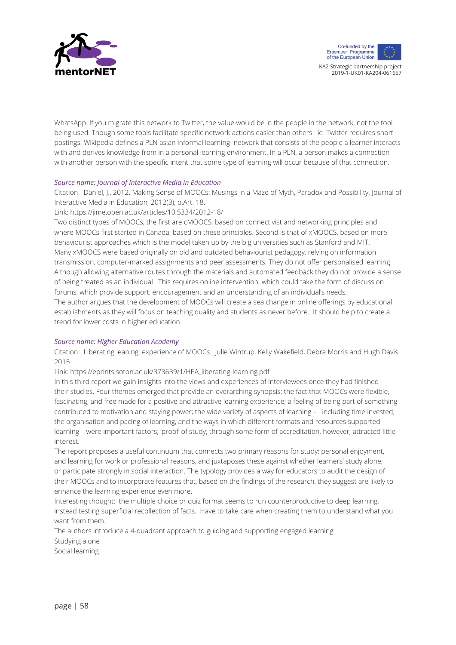



**mentorNET** KA2 Strategic partnership project **mentorNET** 

WhatsApp. If you migrate this network to Twitter, the value would be in the people in the network, not the tool being used. Though some tools facilitate specific network actions easier than others. ie. Twitter requires short postings! Wikipedia defines a PLN as:an informal learning network that consists of the people a learner interacts with and derives knowledge from in a personal learning environment. In a PLN, a person makes a connection with another person with the specific intent that some type of learning will occur because of that connection.

### *Source name: Journal of Interactive Media in Education*

Citation Daniel, J., 2012. Making Sense of MOOCs: Musings in a Maze of Myth, Paradox and Possibility. Journal of Interactive Media in Education, 2012(3), p.Art. 18.

### Link: https://jime.open.ac.uk/articles/10.5334/2012-18/

Two distinct types of MOOCs, the first are cMOOCS, based on connectivist and networking principles and where MOOCs first started in Canada, based on these principles. Second is that of xMOOCS, based on more behaviourist approaches which is the model taken up by the big universities such as Stanford and MIT. Many xMOOCS were based originally on old and outdated behaviourist pedagogy, relying on information transmission, computer-marked assignments and peer assessments. They do not offer personalised learning. Although allowing alternative routes through the materials and automated feedback they do not provide a sense of being treated as an individual. This requires online intervention, which could take the form of discussion forums, which provide support, encouragement and an understanding of an individual's needs. The author argues that the development of MOOCs will create a sea change in online offerings by educational establishments as they will focus on teaching quality and students as never before. It should help to create a trend for lower costs in higher education.

#### *Source name: Higher Education Academy*

Citation Liberating leaning: experience of MOOCs: Julie Wintrup, Kelly Wakefield, Debra Morris and Hugh Davis 2015

Link: https://eprints.soton.ac.uk/373639/1/HEA\_liberating-learning.pdf

In this third report we gain insights into the views and experiences of interviewees once they had finished their studies. Four themes emerged that provide an overarching synopsis: the fact that MOOCs were flexible, fascinating, and free made for a positive and attractive learning experience; a feeling of being part of something contributed to motivation and staying power; the wide variety of aspects of learning – including time invested, the organisation and pacing of learning, and the ways in which different formats and resources supported learning – were important factors; 'proof' of study, through some form of accreditation, however, attracted little interest.

The report proposes a useful continuum that connects two primary reasons for study: personal enjoyment, and learning for work or professional reasons, and juxtaposes these against whether learners' study alone, or participate strongly in social interaction. The typology provides a way for educators to audit the design of their MOOCs and to incorporate features that, based on the findings of the research, they suggest are likely to enhance the learning experience even more.

Interesting thought: the multiple choice or quiz format seems to run counterproductive to deep learning, instead testing superficial recollection of facts. Have to take care when creating them to understand what you want from them.

The authors introduce a 4-quadrant approach to guiding and supporting engaged learning: Studying alone

Social learning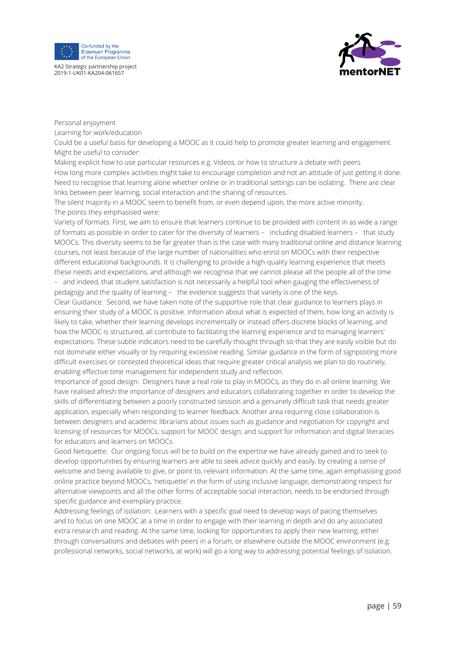

KA2 Strategic partnership project<br>2019-1-UK01-KA204-061657<br>2019-1-UK01-KA204-061657 2019-1-UK01-KA204-061657



Personal enjoyment

Learning for work/education

Could be a useful basis for developing a MOOC as it could help to promote greater learning and engagement. Might be useful to consider:

Making explicit how to use particular resources e.g. Videos, or how to structure a debate with peers How long more complex activities might take to encourage completion and not an attitude of just getting it done. Need to recognise that learning alone whether online or in traditional settings can be isolating. There are clear links between peer learning, social interaction and the sharing of resources.

The silent majority in a MOOC seem to benefit from, or even depend upon, the more active minority. The points they emphasised were:

Variety of formats: First, we aim to ensure that learners continue to be provided with content in as wide a range of formats as possible in order to cater for the diversity of learners – including disabled learners – that study MOOCs. This diversity seems to be far greater than is the case with many traditional online and distance learning courses, not least because of the large number of nationalities who enrol on MOOCs with their respective different educational backgrounds. It is challenging to provide a high-quality learning experience that meets these needs and expectations, and although we recognise that we cannot please all the people all of the time

– and indeed, that student satisfaction is not necessarily a helpful tool when gauging the effectiveness of pedagogy and the quality of learning – the evidence suggests that variety is one of the keys.

Clear Guidance: Second, we have taken note of the supportive role that clear guidance to learners plays in ensuring their study of a MOOC is positive. Information about what is expected of them, how long an activity is likely to take, whether their learning develops incrementally or instead offers discrete blocks of learning, and how the MOOC is structured, all contribute to facilitating the learning experience and to managing learners' expectations. These subtle indicators need to be carefully thought through so that they are easily visible but do not dominate either visually or by requiring excessive reading. Similar guidance in the form of signposting more difficult exercises or contested theoretical ideas that require greater critical analysis we plan to do routinely, enabling effective time management for independent study and reflection.

Importance of good design: Designers have a real role to play in MOOCs, as they do in all online learning. We have realised afresh the importance of designers and educators collaborating together in order to develop the skills of differentiating between a poorly constructed session and a genuinely difficult task that needs greater application, especially when responding to learner feedback. Another area requiring close collaboration is between designers and academic librarians about issues such as guidance and negotiation for copyright and licensing of resources for MOOCs; support for MOOC design; and support for information and digital literacies for educators and learners on MOOCs.

Good Netiquette: Our ongoing focus will be to build on the expertise we have already gained and to seek to develop opportunities by ensuring learners are able to seek advice quickly and easily, by creating a sense of welcome and being available to give, or point to, relevant information. At the same time, again emphasising good online practice beyond MOOCs, 'netiquette' in the form of using inclusive language, demonstrating respect for alternative viewpoints and all the other forms of acceptable social interaction, needs to be endorsed through specific guidance and exemplary practice.

Addressing feelings of isolation: Learners with a specific goal need to develop ways of pacing themselves and to focus on one MOOC at a time in order to engage with their learning in depth and do any associated extra research and reading. At the same time, looking for opportunities to apply their new learning, either through conversations and debates with peers in a forum, or elsewhere outside the MOOC environment (e.g. professional networks, social networks, at work) will go a long way to addressing potential feelings of isolation.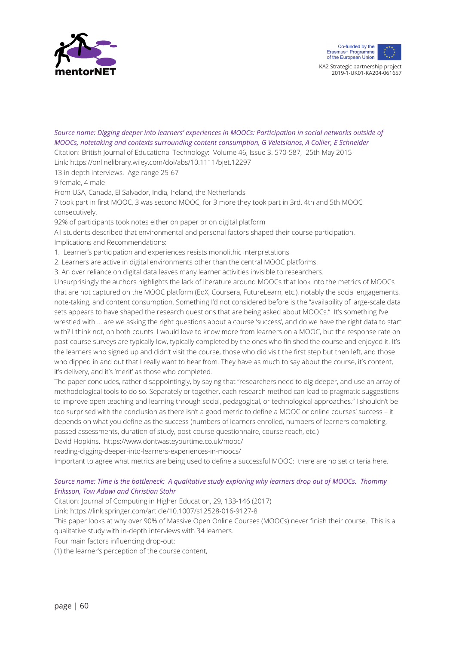



**mentorNET** KA2 Strategic partnership project **mentorNET** 

### *Source name: Digging deeper into learners' experiences in MOOCs: Participation in social networks outside of MOOCs, notetaking and contexts surrounding content consumption, G Veletsianos, A Collier, E Schneider*

Citation: British Journal of Educational Technology: Volume 46, Issue 3. 570-587, 25th May 2015 Link: https://onlinelibrary.wiley.com/doi/abs/10.1111/bjet.12297

13 in depth interviews. Age range 25-67

9 female, 4 male

From USA, Canada, El Salvador, India, Ireland, the Netherlands

7 took part in first MOOC, 3 was second MOOC, for 3 more they took part in 3rd, 4th and 5th MOOC consecutively.

92% of participants took notes either on paper or on digital platform

All students described that environmental and personal factors shaped their course participation. Implications and Recommendations:

- 1. Learner's participation and experiences resists monolithic interpretations
- 2. Learners are active in digital environments other than the central MOOC platforms.

3. An over reliance on digital data leaves many learner activities invisible to researchers.

Unsurprisingly the authors highlights the lack of literature around MOOCs that look into the metrics of MOOCs that are not captured on the MOOC platform (EdX, Coursera, FutureLearn, etc.), notably the social engagements, note-taking, and content consumption. Something I'd not considered before is the "availability of large-scale data sets appears to have shaped the research questions that are being asked about MOOCs." It's something I've wrestled with … are we asking the right questions about a course 'success', and do we have the right data to start with? I think not, on both counts. I would love to know more from learners on a MOOC, but the response rate on post-course surveys are typically low, typically completed by the ones who finished the course and enjoyed it. It's the learners who signed up and didn't visit the course, those who did visit the first step but then left, and those who dipped in and out that I really want to hear from. They have as much to say about the course, it's content, it's delivery, and it's 'merit' as those who completed.

The paper concludes, rather disappointingly, by saying that "researchers need to dig deeper, and use an array of methodological tools to do so. Separately or together, each research method can lead to pragmatic suggestions to improve open teaching and learning through social, pedagogical, or technological approaches." I shouldn't be too surprised with the conclusion as there isn't a good metric to define a MOOC or online courses' success – it depends on what you define as the success (numbers of learners enrolled, numbers of learners completing, passed assessments, duration of study, post-course questionnaire, course reach, etc.)

David Hopkins. https://www.dontwasteyourtime.co.uk/mooc/

reading-digging-deeper-into-learners-experiences-in-moocs/

Important to agree what metrics are being used to define a successful MOOC: there are no set criteria here.

### *Source name: Time is the bottleneck: A qualitative study exploring why learners drop out of MOOCs. Thommy Eriksson, Tow Adawi and Christian Stohr*

Citation: Journal of Computing in Higher Education, 29, 133-146 (2017)

Link: https://link.springer.com/article/10.1007/s12528-016-9127-8

This paper looks at why over 90% of Massive Open Online Courses (MOOCs) never finish their course. This is a qualitative study with in-depth interviews with 34 learners.

Four main factors influencing drop-out:

(1) the learner's perception of the course content,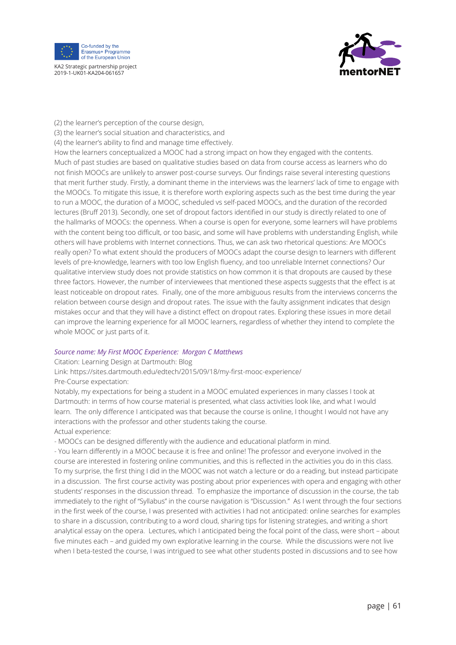

KA2 Strategic partnership project<br>2019-1-UK01-KA204-061657<br>2019-1-UK01-KA204-061657 2019-1-UK01-KA204-061657



(2) the learner's perception of the course design,

(3) the learner's social situation and characteristics, and

(4) the learner's ability to find and manage time effectively.

How the learners conceptualized a MOOC had a strong impact on how they engaged with the contents. Much of past studies are based on qualitative studies based on data from course access as learners who do not finish MOOCs are unlikely to answer post-course surveys. Our findings raise several interesting questions that merit further study. Firstly, a dominant theme in the interviews was the learners' lack of time to engage with the MOOCs. To mitigate this issue, it is therefore worth exploring aspects such as the best time during the year to run a MOOC, the duration of a MOOC, scheduled vs self-paced MOOCs, and the duration of the recorded lectures (Bruff 2013). Secondly, one set of dropout factors identified in our study is directly related to one of the hallmarks of MOOCs: the openness. When a course is open for everyone, some learners will have problems with the content being too difficult, or too basic, and some will have problems with understanding English, while others will have problems with Internet connections. Thus, we can ask two rhetorical questions: Are MOOCs really open? To what extent should the producers of MOOCs adapt the course design to learners with different levels of pre-knowledge, learners with too low English fluency, and too unreliable Internet connections? Our qualitative interview study does not provide statistics on how common it is that dropouts are caused by these three factors. However, the number of interviewees that mentioned these aspects suggests that the effect is at least noticeable on dropout rates. Finally, one of the more ambiguous results from the interviews concerns the relation between course design and dropout rates. The issue with the faulty assignment indicates that design mistakes occur and that they will have a distinct effect on dropout rates. Exploring these issues in more detail can improve the learning experience for all MOOC learners, regardless of whether they intend to complete the whole MOOC or just parts of it.

### *Source name: My First MOOC Experience: Morgan C Matthews*

Citation: Learning Design at Dartmouth: Blog

Link: https://sites.dartmouth.edu/edtech/2015/09/18/my-first-mooc-experience/ Pre-Course expectation:

Notably, my expectations for being a student in a MOOC emulated experiences in many classes I took at Dartmouth: in terms of how course material is presented, what class activities look like, and what I would learn. The only difference I anticipated was that because the course is online, I thought I would not have any interactions with the professor and other students taking the course. Actual experience:

- MOOCs can be designed differently with the audience and educational platform in mind.

- You learn differently in a MOOC because it is free and online! The professor and everyone involved in the course are interested in fostering online communities, and this is reflected in the activities you do in this class. To my surprise, the first thing I did in the MOOC was not watch a lecture or do a reading, but instead participate in a discussion. The first course activity was posting about prior experiences with opera and engaging with other students' responses in the discussion thread. To emphasize the importance of discussion in the course, the tab immediately to the right of "Syllabus" in the course navigation is "Discussion." As I went through the four sections in the first week of the course, I was presented with activities I had not anticipated: online searches for examples to share in a discussion, contributing to a word cloud, sharing tips for listening strategies, and writing a short analytical essay on the opera. Lectures, which I anticipated being the focal point of the class, were short – about five minutes each – and guided my own explorative learning in the course. While the discussions were not live when I beta-tested the course, I was intrigued to see what other students posted in discussions and to see how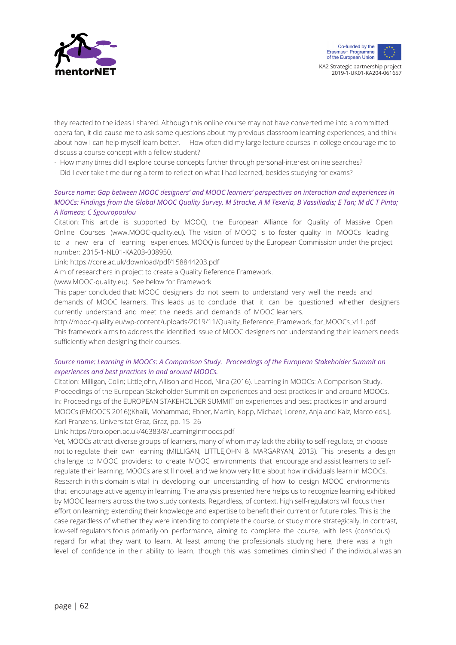



**mentorNET** KA2 Strategic partnership project **mentorNET** 

they reacted to the ideas I shared. Although this online course may not have converted me into a committed opera fan, it did cause me to ask some questions about my previous classroom learning experiences, and think about how I can help myself learn better. How often did my large lecture courses in college encourage me to discuss a course concept with a fellow student?

- How many times did I explore course concepts further through personal-interest online searches?
- Did I ever take time during a term to reflect on what I had learned, besides studying for exams?

### *Source name: Gap between MOOC designers' and MOOC learners' perspectives on interaction and experiences in MOOCs: Findings from the Global MOOC Quality Survey, M Stracke, A M Texeria, B Vassiliadis; E Tan; M dC T Pinto; A Kameas; C Sgouropoulou*

Citation: This article is supported by MOOQ, the European Alliance for Quality of Massive Open Online Courses (www.MOOC-quality.eu). The vision of MOOQ is to foster quality in MOOCs leading to a new era of learning experiences. MOOQ is funded by the European Commission under the project number: 2015-1-NL01-KA203-008950.

Link: https://core.ac.uk/download/pdf/158844203.pdf

Aim of researchers in project to create a Quality Reference Framework.

(www.MOOC-quality.eu). See below for Framework

This paper concluded that: MOOC designers do not seem to understand very well the needs and demands of MOOC learners. This leads us to conclude that it can be questioned whether designers currently understand and meet the needs and demands of MOOC learners.

http://mooc-quality.eu/wp-content/uploads/2019/11/Quality\_Reference\_Framework\_for\_MOOCs\_v11.pdf This framework aims to address the identified issue of MOOC designers not understanding their learners needs sufficiently when designing their courses.

### *Source name: Learning in MOOCs: A Comparison Study. Proceedings of the European Stakeholder Summit on experiences and best practices in and around MOOCs.*

Citation: Milligan, Colin; Littlejohn, Allison and Hood, Nina (2016). Learning in MOOCs: A Comparison Study, Proceedings of the European Stakeholder Summit on experiences and best practices in and around MOOCs. In: Proceedings of the EUROPEAN STAKEHOLDER SUMMIT on experiences and best practices in and around MOOCs (EMOOCS 2016)(Khalil, Mohammad; Ebner, Martin; Kopp, Michael; Lorenz, Anja and Kalz, Marco eds.), Karl-Franzens, Universitat Graz, Graz, pp. 15–26

Link: https://oro.open.ac.uk/46383/8/Learninginmoocs.pdf

Yet, MOOCs attract diverse groups of learners, many of whom may lack the ability to self-regulate, or choose not to regulate their own learning (MILLIGAN, LITTLEJOHN & MARGARYAN, 2013). This presents a design challenge to MOOC providers: to create MOOC environments that encourage and assist learners to selfregulate their learning. MOOCs are still novel, and we know very little about how individuals learn in MOOCs. Research in this domain is vital in developing our understanding of how to design MOOC environments that encourage active agency in learning. The analysis presented here helps us to recognize learning exhibited by MOOC learners across the two study contexts. Regardless, of context, high self-regulators will focus their effort on learning: extending their knowledge and expertise to benefit their current or future roles. This is the case regardless of whether they were intending to complete the course, or study more strategically. In contrast, low-self regulators focus primarily on performance, aiming to complete the course, with less (conscious) regard for what they want to learn. At least among the professionals studying here, there was a high level of confidence in their ability to learn, though this was sometimes diminished if the individual was an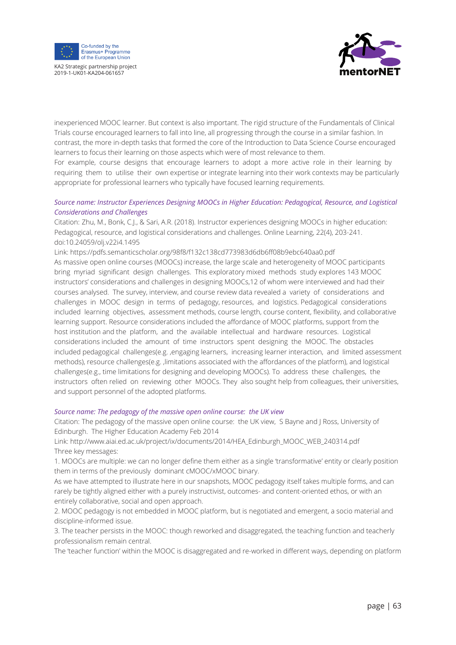

KA2 Strategic partnership project<br>2019-1-UK01-KA204-061657<br>2019-1-UK01-KA204-061657 2019-1-UK01-KA204-061657



inexperienced MOOC learner. But context is also important. The rigid structure of the Fundamentals of Clinical Trials course encouraged learners to fall into line, all progressing through the course in a similar fashion. In contrast, the more in-depth tasks that formed the core of the Introduction to Data Science Course encouraged learners to focus their learning on those aspects which were of most relevance to them.

For example, course designs that encourage learners to adopt a more active role in their learning by requiring them to utilise their own expertise or integrate learning into their work contexts may be particularly appropriate for professional learners who typically have focused learning requirements.

### *Source name: Instructor Experiences Designing MOOCs in Higher Education: Pedagogical, Resource, and Logistical Considerations and Challenges*

Citation: Zhu, M., Bonk, C.J., & Sari, A.R. (2018). Instructor experiences designing MOOCs in higher education: Pedagogical, resource, and logistical considerations and challenges. Online Learning, 22(4), 203-241. doi:10.24059/olj.v22i4.1495

Link: https://pdfs.semanticscholar.org/98f8/f132c138cd773983d6db6ff08b9ebc640aa0.pdf As massive open online courses (MOOCs) increase, the large scale and heterogeneity of MOOC participants bring myriad significant design challenges. This exploratory mixed methods study explores 143 MOOC instructors' considerations and challenges in designing MOOCs,12 of whom were interviewed and had their courses analysed. The survey, interview, and course review data revealed a variety of considerations and challenges in MOOC design in terms of pedagogy, resources, and logistics. Pedagogical considerations included learning objectives, assessment methods, course length, course content, flexibility, and collaborative learning support. Resource considerations included the affordance of MOOC platforms, support from the host institution and the platform, and the available intellectual and hardware resources. Logistical considerations included the amount of time instructors spent designing the MOOC. The obstacles included pedagogical challenges(e.g. ,engaging learners, increasing learner interaction, and limited assessment methods), resource challenges(e.g. ,limitations associated with the affordances of the platform), and logistical challenges(e.g., time limitations for designing and developing MOOCs). To address these challenges, the instructors often relied on reviewing other MOOCs. They also sought help from colleagues, their universities, and support personnel of the adopted platforms.

#### *Source name: The pedagogy of the massive open online course: the UK view*

Citation: The pedagogy of the massive open online course: the UK view, S Bayne and J Ross, University of Edinburgh. The Higher Education Academy Feb 2014

Link: http://www.aiai.ed.ac.uk/project/ix/documents/2014/HEA\_Edinburgh\_MOOC\_WEB\_240314.pdf Three key messages:

1. MOOCs are multiple: we can no longer define them either as a single 'transformative' entity or clearly position them in terms of the previously dominant cMOOC/xMOOC binary.

As we have attempted to illustrate here in our snapshots, MOOC pedagogy itself takes multiple forms, and can rarely be tightly aligned either with a purely instructivist, outcomes- and content-oriented ethos, or with an entirely collaborative, social and open approach.

2. MOOC pedagogy is not embedded in MOOC platform, but is negotiated and emergent, a socio material and discipline-informed issue.

3. The teacher persists in the MOOC: though reworked and disaggregated, the teaching function and teacherly professionalism remain central.

The 'teacher function' within the MOOC is disaggregated and re-worked in different ways, depending on platform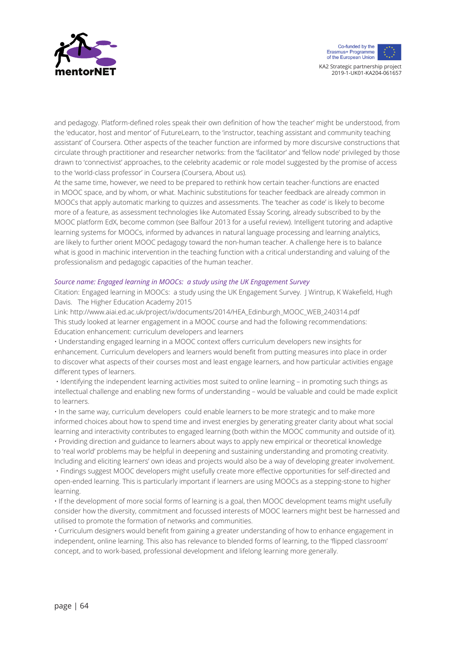



**mentorNET** KA2 Strategic partnership project **mentorNET** 

and pedagogy. Platform-defined roles speak their own definition of how 'the teacher' might be understood, from the 'educator, host and mentor' of FutureLearn, to the 'instructor, teaching assistant and community teaching assistant' of Coursera. Other aspects of the teacher function are informed by more discursive constructions that circulate through practitioner and researcher networks: from the 'facilitator' and 'fellow node' privileged by those drawn to 'connectivist' approaches, to the celebrity academic or role model suggested by the promise of access to the 'world-class professor' in Coursera (Coursera, About us).

At the same time, however, we need to be prepared to rethink how certain teacher-functions are enacted in MOOC space, and by whom, or what. Machinic substitutions for teacher feedback are already common in MOOCs that apply automatic marking to quizzes and assessments. The 'teacher as code' is likely to become more of a feature, as assessment technologies like Automated Essay Scoring, already subscribed to by the MOOC platform EdX, become common (see Balfour 2013 for a useful review). Intelligent tutoring and adaptive learning systems for MOOCs, informed by advances in natural language processing and learning analytics, are likely to further orient MOOC pedagogy toward the non-human teacher. A challenge here is to balance what is good in machinic intervention in the teaching function with a critical understanding and valuing of the professionalism and pedagogic capacities of the human teacher.

### *Source name: Engaged learning in MOOCs: a study using the UK Engagement Survey*

Citation: Engaged learning in MOOCs: a study using the UK Engagement Survey. J Wintrup, K Wakefield, Hugh Davis. The Higher Education Academy 2015

Link: http://www.aiai.ed.ac.uk/project/ix/documents/2014/HEA\_Edinburgh\_MOOC\_WEB\_240314.pdf This study looked at learner engagement in a MOOC course and had the following recommendations: Education enhancement: curriculum developers and learners

• Understanding engaged learning in a MOOC context offers curriculum developers new insights for enhancement. Curriculum developers and learners would benefit from putting measures into place in order to discover what aspects of their courses most and least engage learners, and how particular activities engage different types of learners.

 • Identifying the independent learning activities most suited to online learning – in promoting such things as intellectual challenge and enabling new forms of understanding – would be valuable and could be made explicit to learners.

• In the same way, curriculum developers could enable learners to be more strategic and to make more informed choices about how to spend time and invest energies by generating greater clarity about what social learning and interactivity contributes to engaged learning (both within the MOOC community and outside of it). • Providing direction and guidance to learners about ways to apply new empirical or theoretical knowledge to 'real world' problems may be helpful in deepening and sustaining understanding and promoting creativity. Including and eliciting learners' own ideas and projects would also be a way of developing greater involvement.

 • Findings suggest MOOC developers might usefully create more effective opportunities for self-directed and open-ended learning. This is particularly important if learners are using MOOCs as a stepping-stone to higher learning.

• If the development of more social forms of learning is a goal, then MOOC development teams might usefully consider how the diversity, commitment and focussed interests of MOOC learners might best be harnessed and utilised to promote the formation of networks and communities.

• Curriculum designers would benefit from gaining a greater understanding of how to enhance engagement in independent, online learning. This also has relevance to blended forms of learning, to the 'flipped classroom' concept, and to work-based, professional development and lifelong learning more generally.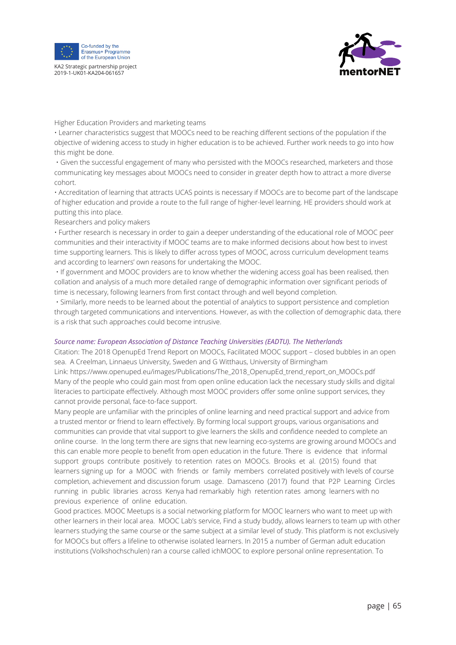

KA2 Strategic partnership project<br>2019-1-UK01-KA204-061657<br>2019-1-UK01-KA204-061657 2019-1-UK01-KA204-061657



Higher Education Providers and marketing teams

• Learner characteristics suggest that MOOCs need to be reaching different sections of the population if the objective of widening access to study in higher education is to be achieved. Further work needs to go into how this might be done.

 • Given the successful engagement of many who persisted with the MOOCs researched, marketers and those communicating key messages about MOOCs need to consider in greater depth how to attract a more diverse cohort.

• Accreditation of learning that attracts UCAS points is necessary if MOOCs are to become part of the landscape of higher education and provide a route to the full range of higher-level learning. HE providers should work at putting this into place.

Researchers and policy makers

• Further research is necessary in order to gain a deeper understanding of the educational role of MOOC peer communities and their interactivity if MOOC teams are to make informed decisions about how best to invest time supporting learners. This is likely to differ across types of MOOC, across curriculum development teams and according to learners' own reasons for undertaking the MOOC.

 • If government and MOOC providers are to know whether the widening access goal has been realised, then collation and analysis of a much more detailed range of demographic information over significant periods of time is necessary, following learners from first contact through and well beyond completion.

 • Similarly, more needs to be learned about the potential of analytics to support persistence and completion through targeted communications and interventions. However, as with the collection of demographic data, there is a risk that such approaches could become intrusive.

### *Source name: European Association of Distance Teaching Universities (EADTU). The Netherlands*

Citation: The 2018 OpenupEd Trend Report on MOOCs, Facilitated MOOC support – closed bubbles in an open sea. A Creelman, Linnaeus University, Sweden and G Witthaus, University of Birmingham

Link: https://www.openuped.eu/images/Publications/The\_2018\_OpenupEd\_trend\_report\_on\_MOOCs.pdf Many of the people who could gain most from open online education lack the necessary study skills and digital literacies to participate effectively. Although most MOOC providers offer some online support services, they cannot provide personal, face-to-face support.

Many people are unfamiliar with the principles of online learning and need practical support and advice from a trusted mentor or friend to learn effectively. By forming local support groups, various organisations and communities can provide that vital support to give learners the skills and confidence needed to complete an online course. In the long term there are signs that new learning eco-systems are growing around MOOCs and this can enable more people to benefit from open education in the future. There is evidence that informal support groups contribute positively to retention rates on MOOCs. Brooks et al. (2015) found that learners signing up for a MOOC with friends or family members correlated positively with levels of course completion, achievement and discussion forum usage. Damasceno (2017) found that P2P Learning Circles running in public libraries across Kenya had remarkably high retention rates among learners with no previous experience of online education.

Good practices. MOOC Meetups is a social networking platform for MOOC learners who want to meet up with other learners in their local area. MOOC Lab's service, Find a study buddy, allows learners to team up with other learners studying the same course or the same subject at a similar level of study. This platform is not exclusively for MOOCs but offers a lifeline to otherwise isolated learners. In 2015 a number of German adult education institutions (Volkshochschulen) ran a course called ichMOOC to explore personal online representation. To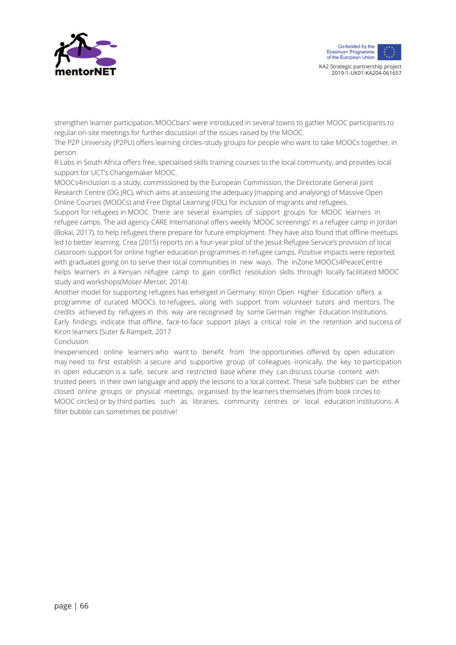



strengthen learner participation,'MOOCbars' were introduced in several towns to gather MOOC participants to regular on-site meetings for further discussion of the issues raised by the MOOC.

The P2P University (P2PU) offers learning circles–study groups for people who want to take MOOCs together, in person.

R Labs in South Africa offers free, specialised skills training courses to the local community, and provides local support for UCT's Changemaker MOOC.

MOOCs4inclusion is a study, commissioned by the European Commission, the Directorate General Joint Research Centre (DG JRC), which aims at assessing the adequacy (mapping and analysing) of Massive Open Online Courses (MOOCs) and Free Digital Learning (FDL) for inclusion of migrants and refugees.

Support for refugees in MOOC. There are several examples of support groups for MOOC learners in refugee camps. The aid agency CARE International offers weekly 'MOOC screenings' in a refugee camp in Jordan (Bokai, 2017), to help refugees there prepare for future employment. They have also found that offline meetups led to better learning. Crea (2015) reports on a four-year pilot of the Jesuit Refugee Service's provision of local classroom support for online higher education programmes in refugee camps. Positive impacts were reported, with graduates going on to serve their local communities in new ways. The inZone MOOCs4PeaceCentre helps learners in a Kenyan refugee camp to gain conflict resolution skills through locally facilitated MOOC study and workshops(Moser-Mercer, 2014).

Another model for supporting refugees has emerged in Germany: Kiron Open Higher Education offers a programme of curated MOOCs to refugees, along with support from volunteer tutors and mentors. The credits achieved by refugees in this way are recognised by some German Higher Education Institutions. Early findings indicate that offline, face-to-face support plays a critical role in the retention and success of Kiron learners (Suter & Rampelt, 2017

### Conclusion

Inexperienced online learners who want to benefit from the opportunities offered by open education may need to first establish a secure and supportive group of colleagues -ironically, the key to participation in open education is a safe, secure and restricted base where they can discuss course content with trusted peers in their own language and apply the lessons to a local context. These 'safe bubbles' can be either closed online groups or physical meetings, organised by the learners themselves (from book circles to MOOC circles) or by third parties such as libraries, community centres or local education institutions. A filter bubble can sometimes be positive!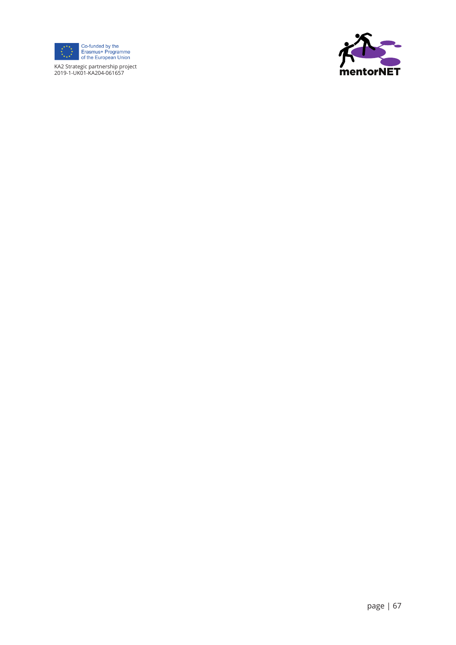